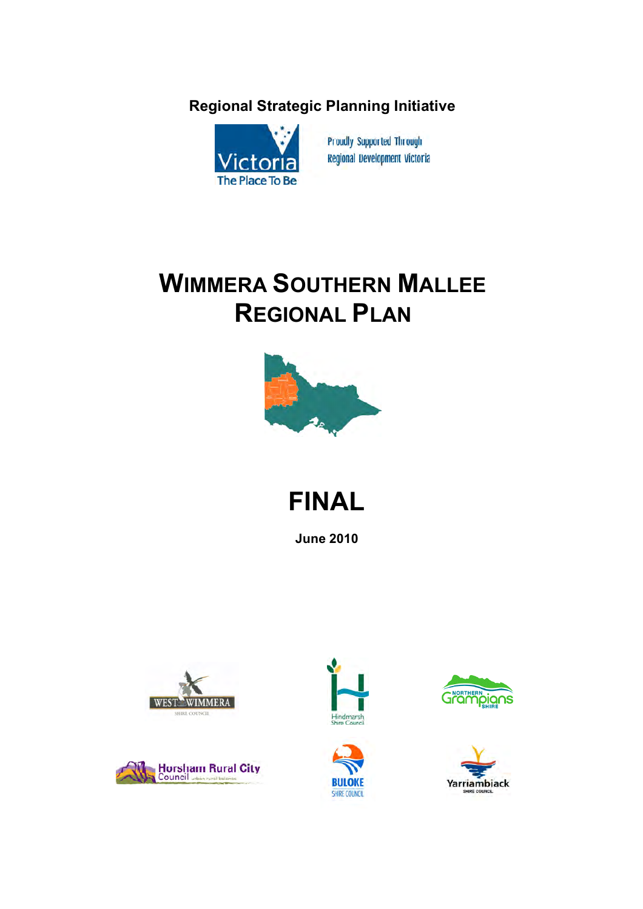## **Regional Strategic Planning Initiative**



**Proudly Supported Through Regional Development Victoria** 

# **WIMMERA SOUTHERN MALLEE REGIONAL PLAN**



**FINAL**

**June 2010**











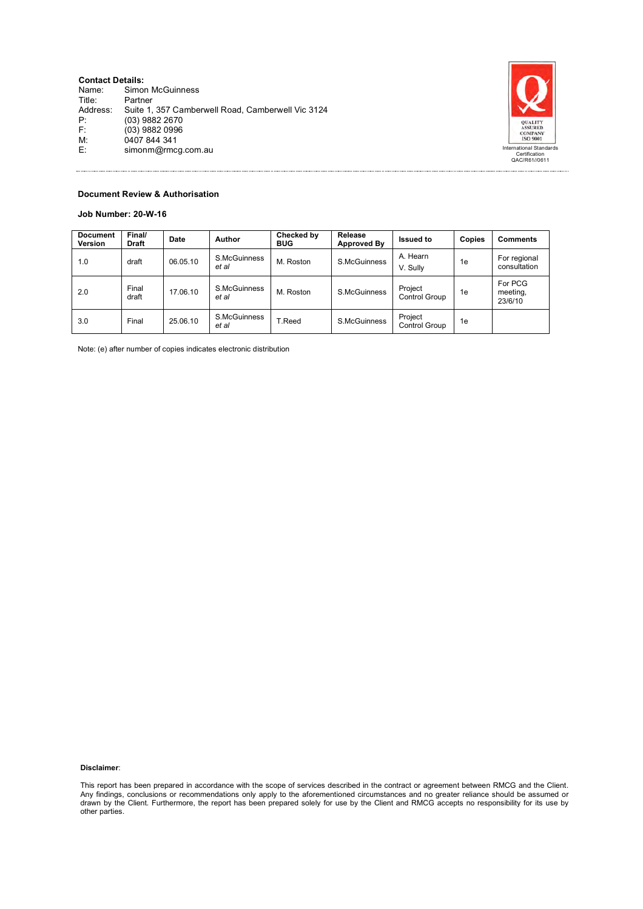| <b>Contact Details:</b> |                                                   |                                          |
|-------------------------|---------------------------------------------------|------------------------------------------|
| Name:                   | Simon McGuinness                                  |                                          |
| Title:                  | Partner                                           |                                          |
| Address:                | Suite 1, 357 Camberwell Road, Camberwell Vic 3124 |                                          |
| P:                      | (03) 9882 2670                                    | <b>OUALITY</b>                           |
| F:                      | (03) 9882 0996                                    | <b>ASSURED</b><br><b>COMPANY</b>         |
| M:                      | 0407 844 341                                      | ISO 9001                                 |
| E:                      | simonm@rmcq.com.au                                | International Standards<br>Certification |
|                         |                                                   | QAC/R61//0611                            |



#### **Document Review & Authorisation**

#### **Job Number: 20-W-16**

| <b>Document</b><br>Version | Final/<br><b>Draft</b> | Date     | Author                | Checked by<br><b>BUG</b> | Release<br><b>Approved By</b> | <b>Issued to</b>                | Copies | Comments                       |
|----------------------------|------------------------|----------|-----------------------|--------------------------|-------------------------------|---------------------------------|--------|--------------------------------|
| 1.0                        | draft                  | 06.05.10 | S.McGuinness<br>et al | M. Roston                | S.McGuinness                  | A. Hearn<br>V. Sully            | 1e     | For regional<br>consultation   |
| 2.0                        | Final<br>draft         | 17.06.10 | S.McGuinness<br>et al | M. Roston                | S.McGuinness                  | Project<br><b>Control Group</b> | 1e     | For PCG<br>meeting,<br>23/6/10 |
| 3.0                        | Final                  | 25.06.10 | S.McGuinness<br>et al | T.Reed                   | S.McGuinness                  | Project<br><b>Control Group</b> | 1e     |                                |

Note: (e) after number of copies indicates electronic distribution

#### **Disclaimer**:

This report has been prepared in accordance with the scope of services described in the contract or agreement between RMCG and the Client. Any findings, conclusions or recommendations only apply to the aforementioned circumstances and no greater reliance should be assumed or<br>drawn by the Client. Furthermore, the report has been prepared solely for use by the other parties.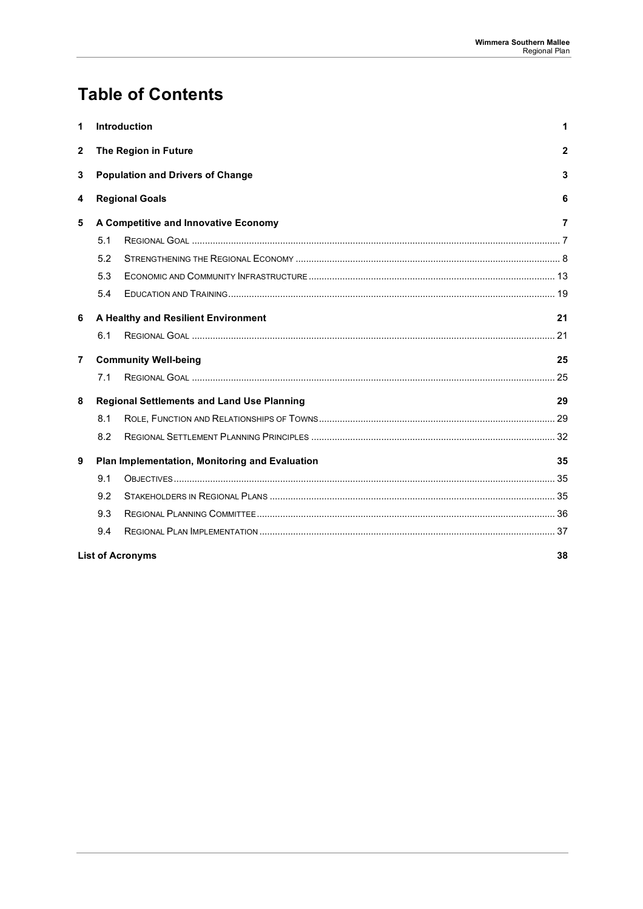## **Table of Contents**

| 1              |     | Introduction                                      | 1              |
|----------------|-----|---------------------------------------------------|----------------|
| $\mathbf{2}$   |     | The Region in Future                              | $\mathbf{2}$   |
| 3              |     | <b>Population and Drivers of Change</b>           | 3              |
| 4              |     | <b>Regional Goals</b>                             | 6              |
| 5              |     | A Competitive and Innovative Economy              | $\overline{7}$ |
|                | 5.1 |                                                   |                |
|                | 5.2 |                                                   |                |
|                | 5.3 |                                                   |                |
|                | 5.4 |                                                   |                |
| 6              |     | A Healthy and Resilient Environment               | 21             |
|                | 6.1 |                                                   |                |
| $\overline{7}$ |     | <b>Community Well-being</b>                       | 25             |
|                | 7.1 |                                                   | 25             |
| 8              |     | <b>Regional Settlements and Land Use Planning</b> | 29             |
|                | 8.1 |                                                   |                |
|                | 8.2 |                                                   |                |
| 9              |     | Plan Implementation, Monitoring and Evaluation    | 35             |
|                | 9.1 |                                                   |                |
|                | 9.2 |                                                   |                |
|                | 9.3 |                                                   |                |
|                | 9.4 |                                                   |                |
|                |     | <b>List of Acronyms</b>                           | 38             |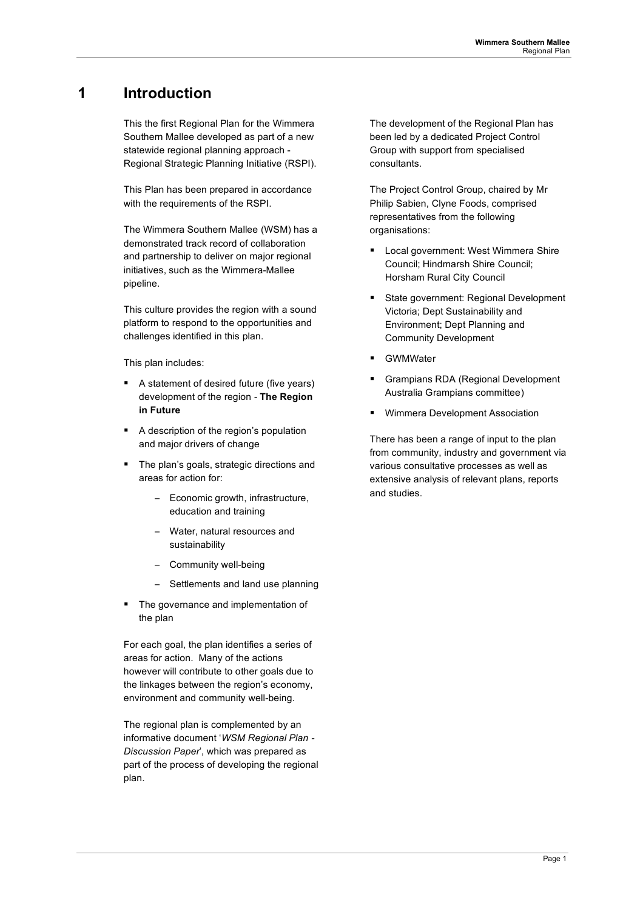## **1 Introduction**

This the first Regional Plan for the Wimmera Southern Mallee developed as part of a new statewide regional planning approach - Regional Strategic Planning Initiative (RSPI).

This Plan has been prepared in accordance with the requirements of the RSPI.

The Wimmera Southern Mallee (WSM) has a demonstrated track record of collaboration and partnership to deliver on major regional initiatives, such as the Wimmera-Mallee pipeline.

This culture provides the region with a sound platform to respond to the opportunities and challenges identified in this plan.

This plan includes:

- A statement of desired future (five years) development of the region - **The Region in Future**
- A description of the region's population and major drivers of change
- The plan's goals, strategic directions and areas for action for:
	- Economic growth, infrastructure, education and training
	- − Water, natural resources and sustainability
	- − Community well-being
	- Settlements and land use planning
- The governance and implementation of the plan

For each goal, the plan identifies a series of areas for action. Many of the actions however will contribute to other goals due to the linkages between the region's economy, environment and community well-being.

The regional plan is complemented by an informative document '*WSM Regional Plan - Discussion Paper*', which was prepared as part of the process of developing the regional plan.

The development of the Regional Plan has been led by a dedicated Project Control Group with support from specialised consultants.

The Project Control Group, chaired by Mr Philip Sabien, Clyne Foods, comprised representatives from the following organisations:

- **Local government: West Wimmera Shire** Council; Hindmarsh Shire Council; Horsham Rural City Council
- State government: Regional Development Victoria; Dept Sustainability and Environment; Dept Planning and Community Development
- **GWMWater**
- Grampians RDA (Regional Development Australia Grampians committee)
- **Wimmera Development Association**

There has been a range of input to the plan from community, industry and government via various consultative processes as well as extensive analysis of relevant plans, reports and studies.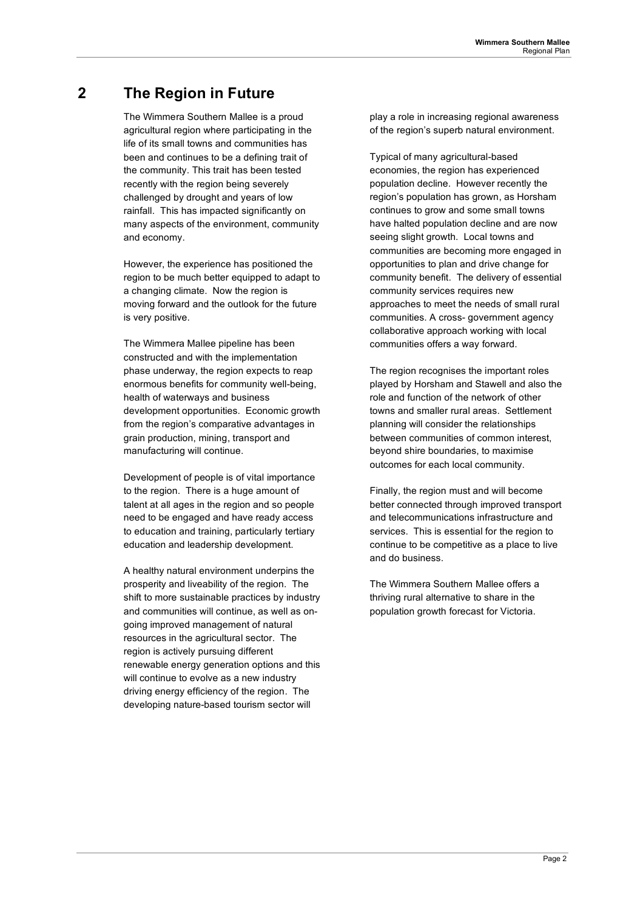## **2 The Region in Future**

The Wimmera Southern Mallee is a proud agricultural region where participating in the life of its small towns and communities has been and continues to be a defining trait of the community. This trait has been tested recently with the region being severely challenged by drought and years of low rainfall. This has impacted significantly on many aspects of the environment, community and economy.

However, the experience has positioned the region to be much better equipped to adapt to a changing climate. Now the region is moving forward and the outlook for the future is very positive.

The Wimmera Mallee pipeline has been constructed and with the implementation phase underway, the region expects to reap enormous benefits for community well-being, health of waterways and business development opportunities. Economic growth from the region's comparative advantages in grain production, mining, transport and manufacturing will continue.

Development of people is of vital importance to the region. There is a huge amount of talent at all ages in the region and so people need to be engaged and have ready access to education and training, particularly tertiary education and leadership development.

A healthy natural environment underpins the prosperity and liveability of the region. The shift to more sustainable practices by industry and communities will continue, as well as ongoing improved management of natural resources in the agricultural sector. The region is actively pursuing different renewable energy generation options and this will continue to evolve as a new industry driving energy efficiency of the region. The developing nature-based tourism sector will

play a role in increasing regional awareness of the region's superb natural environment.

Typical of many agricultural-based economies, the region has experienced population decline. However recently the region's population has grown, as Horsham continues to grow and some small towns have halted population decline and are now seeing slight growth. Local towns and communities are becoming more engaged in opportunities to plan and drive change for community benefit. The delivery of essential community services requires new approaches to meet the needs of small rural communities. A cross- government agency collaborative approach working with local communities offers a way forward.

The region recognises the important roles played by Horsham and Stawell and also the role and function of the network of other towns and smaller rural areas. Settlement planning will consider the relationships between communities of common interest, beyond shire boundaries, to maximise outcomes for each local community.

Finally, the region must and will become better connected through improved transport and telecommunications infrastructure and services. This is essential for the region to continue to be competitive as a place to live and do business.

The Wimmera Southern Mallee offers a thriving rural alternative to share in the population growth forecast for Victoria.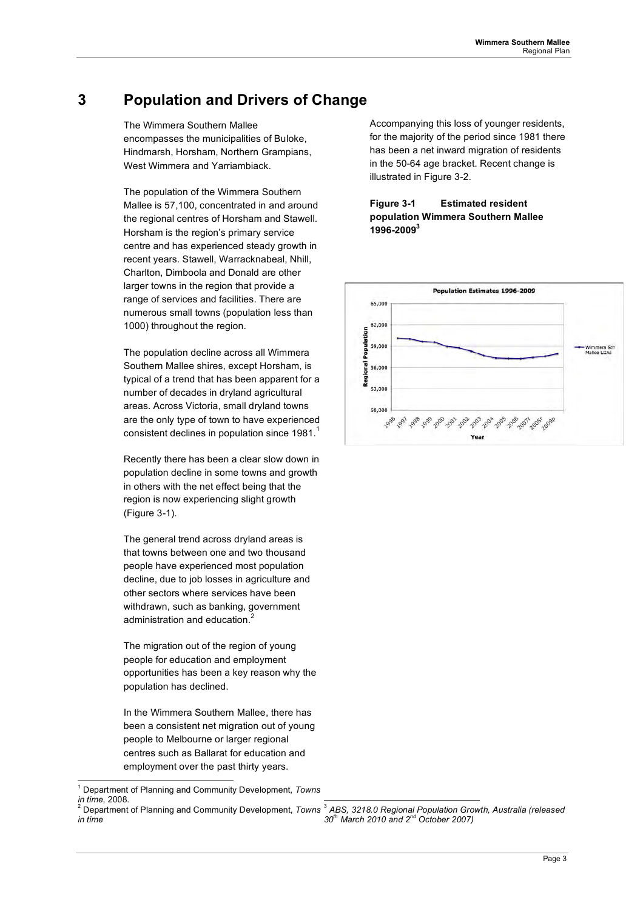## **3 Population and Drivers of Change**

The Wimmera Southern Mallee encompasses the municipalities of Buloke, Hindmarsh, Horsham, Northern Grampians, West Wimmera and Yarriambiack.

The population of the Wimmera Southern Mallee is 57,100, concentrated in and around the regional centres of Horsham and Stawell. Horsham is the region's primary service centre and has experienced steady growth in recent years. Stawell, Warracknabeal, Nhill, Charlton, Dimboola and Donald are other larger towns in the region that provide a range of services and facilities. There are numerous small towns (population less than 1000) throughout the region.

The population decline across all Wimmera Southern Mallee shires, except Horsham, is typical of a trend that has been apparent for a number of decades in dryland agricultural areas. Across Victoria, small dryland towns are the only type of town to have experienced consistent declines in population since  $1981<sup>1</sup>$ 

Recently there has been a clear slow down in population decline in some towns and growth in others with the net effect being that the region is now experiencing slight growth (Figure 3-1).

The general trend across dryland areas is that towns between one and two thousand people have experienced most population decline, due to job losses in agriculture and other sectors where services have been withdrawn, such as banking, government administration and education.<sup>2</sup>

The migration out of the region of young people for education and employment opportunities has been a key reason why the population has declined.

In the Wimmera Southern Mallee, there has been a consistent net migration out of young people to Melbourne or larger regional centres such as Ballarat for education and employment over the past thirty years.

Accompanying this loss of younger residents, for the majority of the period since 1981 there has been a net inward migration of residents in the 50-64 age bracket. Recent change is illustrated in Figure 3-2.

### **Figure 3-1 Estimated resident population Wimmera Southern Mallee 1996-20093**



*30th March 2010 and 2nd October 2007)* 

<sup>|&</sup>lt;br>1 Department of Planning and Community Development, *Towns in time*, 2008. n time, 2008.<br>Department of Planning and Community Development, *Towns* <sup>3</sup> ABS, 3218.0 Regional Population Growth, Australia (released

*in time*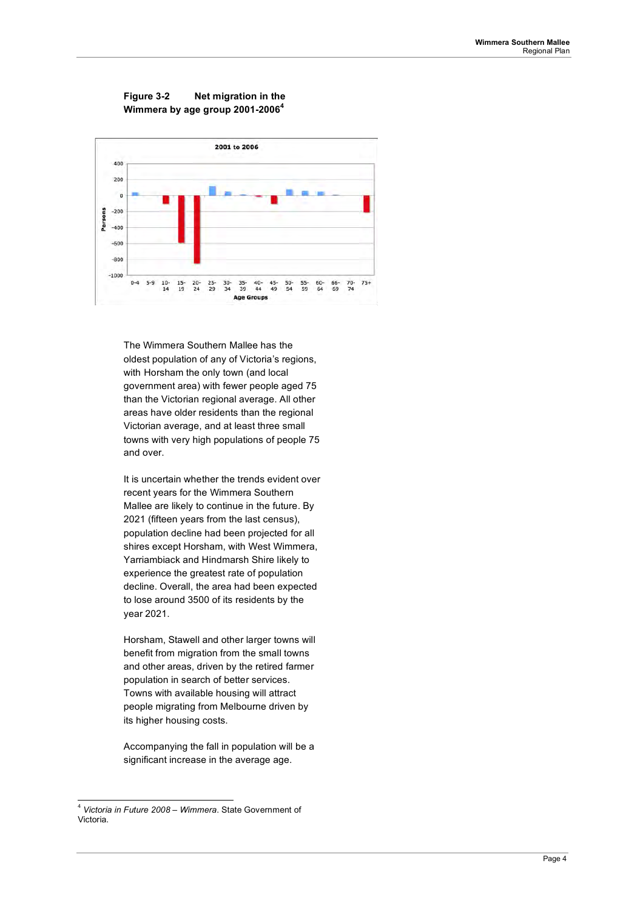



The Wimmera Southern Mallee has the oldest population of any of Victoria's regions, with Horsham the only town (and local government area) with fewer people aged 75 than the Victorian regional average. All other areas have older residents than the regional Victorian average, and at least three small towns with very high populations of people 75 and over.

It is uncertain whether the trends evident over recent years for the Wimmera Southern Mallee are likely to continue in the future. By 2021 (fifteen years from the last census), population decline had been projected for all shires except Horsham, with West Wimmera, Yarriambiack and Hindmarsh Shire likely to experience the greatest rate of population decline. Overall, the area had been expected to lose around 3500 of its residents by the year 2021.

Horsham, Stawell and other larger towns will benefit from migration from the small towns and other areas, driven by the retired farmer population in search of better services. Towns with available housing will attract people migrating from Melbourne driven by its higher housing costs.

Accompanying the fall in population will be a significant increase in the average age.

 <sup>4</sup> *Victoria in Future 2008 – Wimmera*. State Government of Victoria.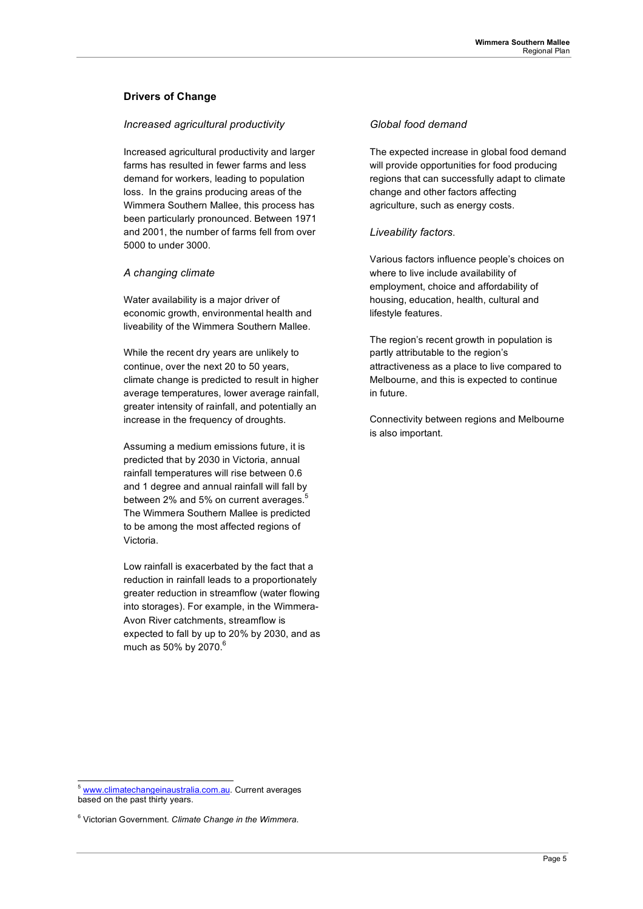### **Drivers of Change**

### *Increased agricultural productivity*

Increased agricultural productivity and larger farms has resulted in fewer farms and less demand for workers, leading to population loss. In the grains producing areas of the Wimmera Southern Mallee, this process has been particularly pronounced. Between 1971 and 2001, the number of farms fell from over 5000 to under 3000.

### *A changing climate*

Water availability is a major driver of economic growth, environmental health and liveability of the Wimmera Southern Mallee.

While the recent dry years are unlikely to continue, over the next 20 to 50 years, climate change is predicted to result in higher average temperatures, lower average rainfall, greater intensity of rainfall, and potentially an increase in the frequency of droughts.

Assuming a medium emissions future, it is predicted that by 2030 in Victoria, annual rainfall temperatures will rise between 0.6 and 1 degree and annual rainfall will fall by between 2% and 5% on current averages.<sup>5</sup> The Wimmera Southern Mallee is predicted to be among the most affected regions of Victoria.

Low rainfall is exacerbated by the fact that a reduction in rainfall leads to a proportionately greater reduction in streamflow (water flowing into storages). For example, in the Wimmera-Avon River catchments, streamflow is expected to fall by up to 20% by 2030, and as much as 50% by 2070. $^6$ 

### *Global food demand*

The expected increase in global food demand will provide opportunities for food producing regions that can successfully adapt to climate change and other factors affecting agriculture, such as energy costs.

### *Liveability factors*.

Various factors influence people's choices on where to live include availability of employment, choice and affordability of housing, education, health, cultural and lifestyle features.

The region's recent growth in population is partly attributable to the region's attractiveness as a place to live compared to Melbourne, and this is expected to continue in future.

Connectivity between regions and Melbourne is also important.

 <sup>5</sup> www.climatechangeinaustralia.com.au. Current averages based on the past thirty years.

<sup>6</sup> Victorian Government. *Climate Change in the Wimmera*.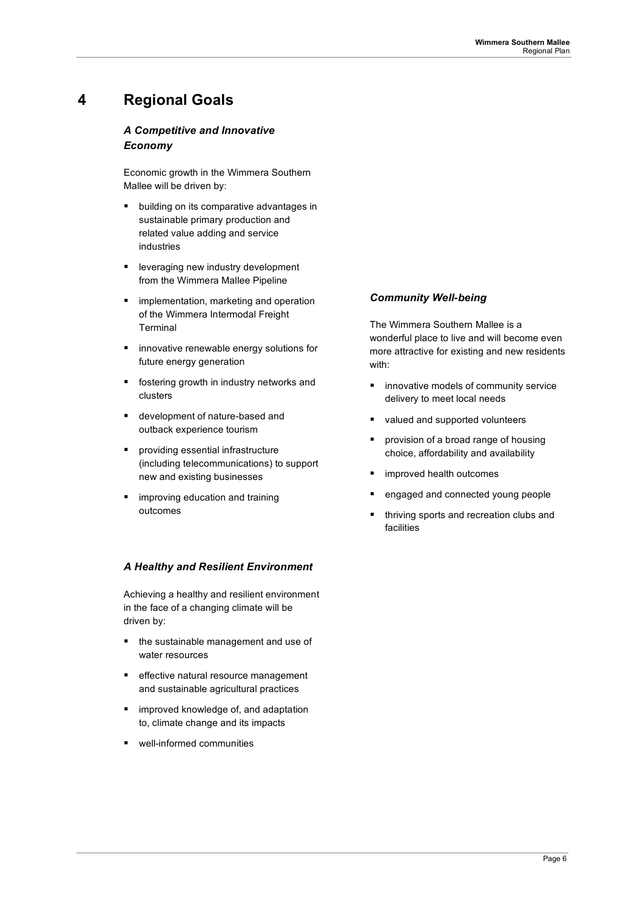## **4 Regional Goals**

### *A Competitive and Innovative Economy*

Economic growth in the Wimmera Southern Mallee will be driven by:

- **•** building on its comparative advantages in sustainable primary production and related value adding and service industries
- **E** leveraging new industry development from the Wimmera Mallee Pipeline
- implementation, marketing and operation of the Wimmera Intermodal Freight Terminal
- **n** innovative renewable energy solutions for future energy generation
- **fostering growth in industry networks and** clusters
- development of nature-based and outback experience tourism
- **Part of the system** providing essential infrastructure (including telecommunications) to support new and existing businesses
- improving education and training outcomes

### *A Healthy and Resilient Environment*

Achieving a healthy and resilient environment in the face of a changing climate will be driven by:

- the sustainable management and use of water resources
- **EXECT** effective natural resource management and sustainable agricultural practices
- $I$  improved knowledge of, and adaptation to, climate change and its impacts
- well-informed communities

### *Community Well-being*

The Wimmera Southern Mallee is a wonderful place to live and will become even more attractive for existing and new residents with:

- **innovative models of community service** delivery to meet local needs
- valued and supported volunteers
- provision of a broad range of housing choice, affordability and availability
- $\blacksquare$  improved health outcomes
- engaged and connected young people
- **thriving sports and recreation clubs and** facilities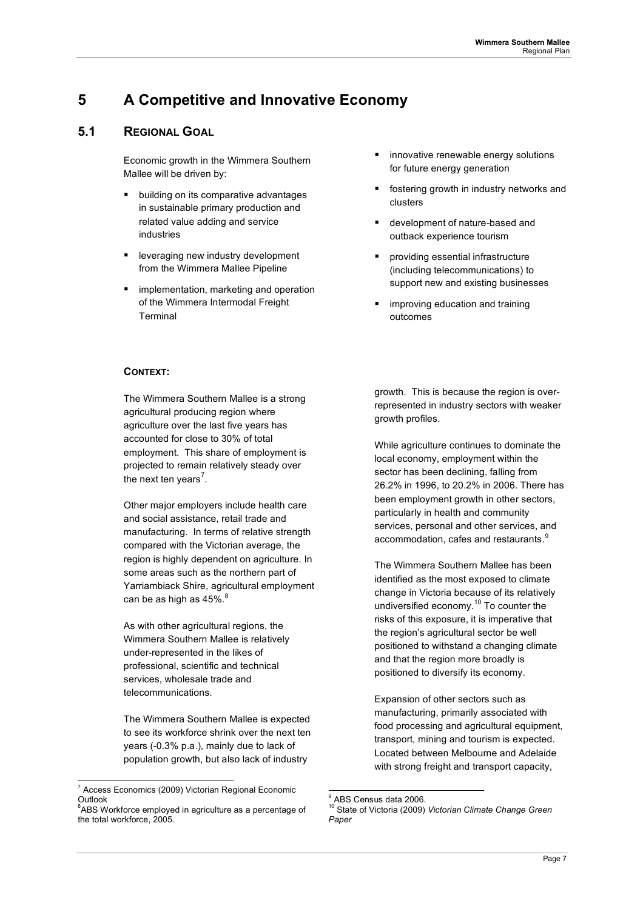## **5 A Competitive and Innovative Economy**

## **5.1 REGIONAL GOAL**

Economic growth in the Wimmera Southern Mallee will be driven by:

- building on its comparative advantages in sustainable primary production and related value adding and service industries
- leveraging new industry development from the Wimmera Mallee Pipeline
- implementation, marketing and operation of the Wimmera Intermodal Freight **Terminal**
- innovative renewable energy solutions for future energy generation
- **fostering growth in industry networks and** clusters
- development of nature-based and outback experience tourism
- providing essential infrastructure (including telecommunications) to support new and existing businesses
- improving education and training outcomes

### **CONTEXT:**

The Wimmera Southern Mallee is a strong agricultural producing region where agriculture over the last five years has accounted for close to 30% of total employment. This share of employment is projected to remain relatively steady over the next ten years<sup>7</sup>.

Other major employers include health care and social assistance, retail trade and manufacturing. In terms of relative strength compared with the Victorian average, the region is highly dependent on agriculture. In some areas such as the northern part of Yarriambiack Shire, agricultural employment can be as high as 45%.<sup>8</sup>

As with other agricultural regions, the Wimmera Southern Mallee is relatively under-represented in the likes of professional, scientific and technical services, wholesale trade and telecommunications.

The Wimmera Southern Mallee is expected to see its workforce shrink over the next ten years (-0.3% p.a.), mainly due to lack of population growth, but also lack of industry

growth. This is because the region is overrepresented in industry sectors with weaker growth profiles.

While agriculture continues to dominate the local economy, employment within the sector has been declining, falling from 26.2% in 1996, to 20.2% in 2006. There has been employment growth in other sectors, particularly in health and community services, personal and other services, and accommodation, cafes and restaurants.<sup>9</sup>

The Wimmera Southern Mallee has been identified as the most exposed to climate change in Victoria because of its relatively undiversified economy.10 To counter the risks of this exposure, it is imperative that the region's agricultural sector be well positioned to withstand a changing climate and that the region more broadly is positioned to diversify its economy.

Expansion of other sectors such as manufacturing, primarily associated with food processing and agricultural equipment, transport, mining and tourism is expected. Located between Melbourne and Adelaide with strong freight and transport capacity,

<sup>7</sup>  $7$  Access Economics (2009) Victorian Regional Economic Outlook

<sup>&</sup>lt;sup>8</sup>ABS Workforce employed in agriculture as a percentage of the total workforce, 2005.

<sup>-&</sup>lt;br>9 <sup>9</sup> ABS Census data 2006.

<sup>10</sup> State of Victoria (2009) *Victorian Climate Change Green Paper*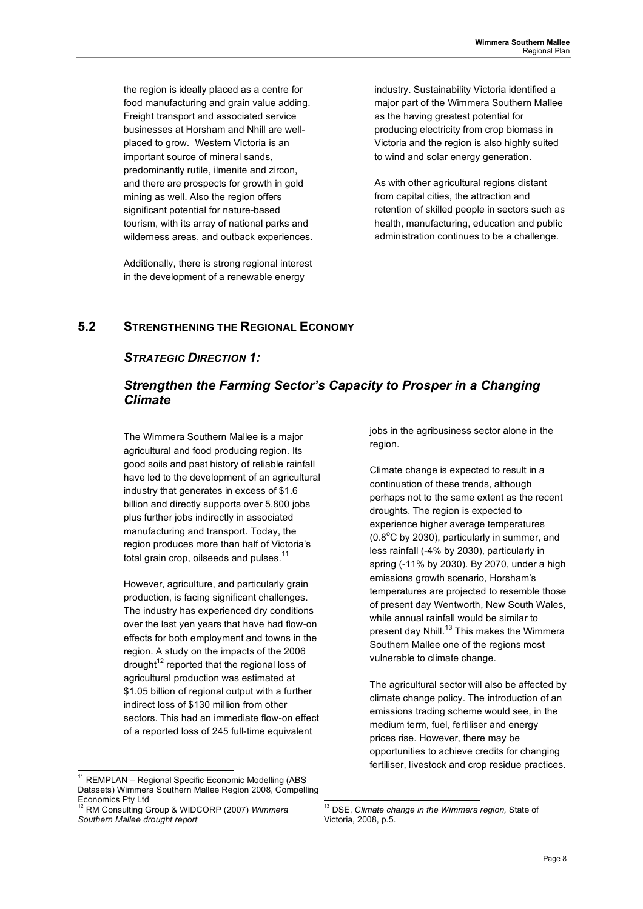the region is ideally placed as a centre for food manufacturing and grain value adding. Freight transport and associated service businesses at Horsham and Nhill are wellplaced to grow. Western Victoria is an important source of mineral sands, predominantly rutile, ilmenite and zircon, and there are prospects for growth in gold mining as well. Also the region offers significant potential for nature-based tourism, with its array of national parks and wilderness areas, and outback experiences.

Additionally, there is strong regional interest in the development of a renewable energy

industry. Sustainability Victoria identified a major part of the Wimmera Southern Mallee as the having greatest potential for producing electricity from crop biomass in Victoria and the region is also highly suited to wind and solar energy generation.

As with other agricultural regions distant from capital cities, the attraction and retention of skilled people in sectors such as health, manufacturing, education and public administration continues to be a challenge.

## **5.2 STRENGTHENING THE REGIONAL ECONOMY**

### *STRATEGIC DIRECTION 1:*

## *Strengthen the Farming Sector's Capacity to Prosper in a Changing Climate*

The Wimmera Southern Mallee is a major agricultural and food producing region. Its good soils and past history of reliable rainfall have led to the development of an agricultural industry that generates in excess of \$1.6 billion and directly supports over 5,800 jobs plus further jobs indirectly in associated manufacturing and transport. Today, the region produces more than half of Victoria's total grain crop, oilseeds and pulses. $11$ 

However, agriculture, and particularly grain production, is facing significant challenges. The industry has experienced dry conditions over the last yen years that have had flow-on effects for both employment and towns in the region. A study on the impacts of the 2006 drought<sup>12</sup> reported that the regional loss of agricultural production was estimated at \$1.05 billion of regional output with a further indirect loss of \$130 million from other sectors. This had an immediate flow-on effect of a reported loss of 245 full-time equivalent

jobs in the agribusiness sector alone in the region.

Climate change is expected to result in a continuation of these trends, although perhaps not to the same extent as the recent droughts. The region is expected to experience higher average temperatures  $(0.8^{\circ}$ C by 2030), particularly in summer, and less rainfall (-4% by 2030), particularly in spring (-11% by 2030). By 2070, under a high emissions growth scenario, Horsham's temperatures are projected to resemble those of present day Wentworth, New South Wales, while annual rainfall would be similar to present day Nhill.<sup>13</sup> This makes the Wimmera Southern Mallee one of the regions most vulnerable to climate change.

The agricultural sector will also be affected by climate change policy. The introduction of an emissions trading scheme would see, in the medium term, fuel, fertiliser and energy prices rise. However, there may be opportunities to achieve credits for changing fertiliser, livestock and crop residue practices.

<sup>&</sup>lt;sup>11</sup> REMPLAN – Regional Specific Economic Modelling (ABS) Datasets) Wimmera Southern Mallee Region 2008, Compelling Economics Pty Ltd

<sup>12</sup> RM Consulting Group & WIDCORP (2007) *Wimmera Southern Mallee drought report*

 <sup>13</sup> DSE, *Climate change in the Wimmera region,* State of Victoria, 2008, p.5.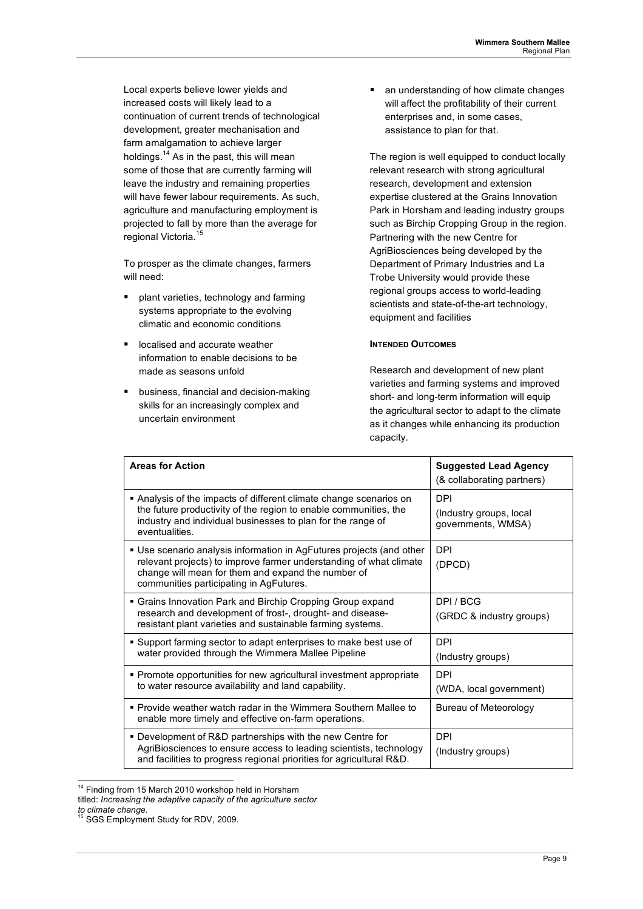Local experts believe lower yields and increased costs will likely lead to a continuation of current trends of technological development, greater mechanisation and farm amalgamation to achieve larger holdings.<sup>14</sup> As in the past, this will mean some of those that are currently farming will leave the industry and remaining properties will have fewer labour requirements. As such, agriculture and manufacturing employment is projected to fall by more than the average for regional Victoria.<sup>15</sup>

To prosper as the climate changes, farmers will need:

- plant varieties, technology and farming systems appropriate to the evolving climatic and economic conditions
- **IDCALISED AND ACCURATE WEATHER** information to enable decisions to be made as seasons unfold
- business, financial and decision-making skills for an increasingly complex and uncertain environment

• an understanding of how climate changes will affect the profitability of their current enterprises and, in some cases, assistance to plan for that.

The region is well equipped to conduct locally relevant research with strong agricultural research, development and extension expertise clustered at the Grains Innovation Park in Horsham and leading industry groups such as Birchip Cropping Group in the region. Partnering with the new Centre for AgriBiosciences being developed by the Department of Primary Industries and La Trobe University would provide these regional groups access to world-leading scientists and state-of-the-art technology, equipment and facilities

#### **INTENDED OUTCOMES**

Research and development of new plant varieties and farming systems and improved short- and long-term information will equip the agricultural sector to adapt to the climate as it changes while enhancing its production capacity.

| <b>Areas for Action</b>                                                                                                                                                                                                                     | <b>Suggested Lead Agency</b><br>(& collaborating partners)  |
|---------------------------------------------------------------------------------------------------------------------------------------------------------------------------------------------------------------------------------------------|-------------------------------------------------------------|
| Analysis of the impacts of different climate change scenarios on<br>the future productivity of the region to enable communities, the<br>industry and individual businesses to plan for the range of<br>eventualities.                       | <b>DPI</b><br>(Industry groups, local<br>governments, WMSA) |
| • Use scenario analysis information in AgFutures projects (and other<br>relevant projects) to improve farmer understanding of what climate<br>change will mean for them and expand the number of<br>communities participating in AgFutures. | <b>DPI</b><br>(DPCD)                                        |
| • Grains Innovation Park and Birchip Cropping Group expand<br>research and development of frost-, drought- and disease-<br>resistant plant varieties and sustainable farming systems.                                                       | DPL/BCG<br>(GRDC & industry groups)                         |
| • Support farming sector to adapt enterprises to make best use of<br>water provided through the Wimmera Mallee Pipeline                                                                                                                     | <b>DPI</b><br>(Industry groups)                             |
| • Promote opportunities for new agricultural investment appropriate<br>to water resource availability and land capability.                                                                                                                  | <b>DPI</b><br>(WDA, local government)                       |
| • Provide weather watch radar in the Wimmera Southern Mallee to<br>enable more timely and effective on-farm operations.                                                                                                                     | Bureau of Meteorology                                       |
| • Development of R&D partnerships with the new Centre for<br>AgriBiosciences to ensure access to leading scientists, technology<br>and facilities to progress regional priorities for agricultural R&D.                                     | <b>DPI</b><br>(Industry groups)                             |

<sup>&</sup>lt;sup>14</sup> Finding from 15 March 2010 workshop held in Horsham

titled: *Increasing the adaptive capacity of the agriculture sector* 

*to climate change.*

<sup>&</sup>lt;sup>5</sup> SGS Employment Study for RDV, 2009.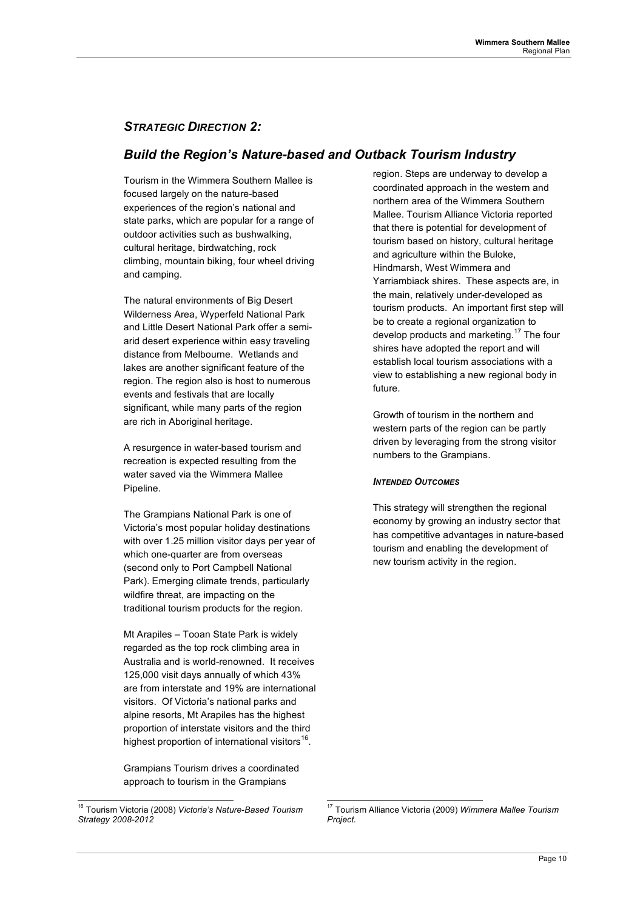## *STRATEGIC DIRECTION 2:*

## *Build the Region's Nature-based and Outback Tourism Industry*

Tourism in the Wimmera Southern Mallee is focused largely on the nature-based experiences of the region's national and state parks, which are popular for a range of outdoor activities such as bushwalking, cultural heritage, birdwatching, rock climbing, mountain biking, four wheel driving and camping.

The natural environments of Big Desert Wilderness Area, Wyperfeld National Park and Little Desert National Park offer a semiarid desert experience within easy traveling distance from Melbourne. Wetlands and lakes are another significant feature of the region. The region also is host to numerous events and festivals that are locally significant, while many parts of the region are rich in Aboriginal heritage.

A resurgence in water-based tourism and recreation is expected resulting from the water saved via the Wimmera Mallee Pipeline.

The Grampians National Park is one of Victoria's most popular holiday destinations with over 1.25 million visitor days per year of which one-quarter are from overseas (second only to Port Campbell National Park). Emerging climate trends, particularly wildfire threat, are impacting on the traditional tourism products for the region.

Mt Arapiles – Tooan State Park is widely regarded as the top rock climbing area in Australia and is world-renowned. It receives 125,000 visit days annually of which 43% are from interstate and 19% are international visitors. Of Victoria's national parks and alpine resorts, Mt Arapiles has the highest proportion of interstate visitors and the third highest proportion of international visitors<sup>16</sup>.

Grampians Tourism drives a coordinated approach to tourism in the Grampians

region. Steps are underway to develop a coordinated approach in the western and northern area of the Wimmera Southern Mallee. Tourism Alliance Victoria reported that there is potential for development of tourism based on history, cultural heritage and agriculture within the Buloke, Hindmarsh, West Wimmera and Yarriambiack shires. These aspects are, in the main, relatively under-developed as tourism products. An important first step will be to create a regional organization to develop products and marketing.<sup>17</sup> The four shires have adopted the report and will establish local tourism associations with a view to establishing a new regional body in future.

Growth of tourism in the northern and western parts of the region can be partly driven by leveraging from the strong visitor numbers to the Grampians.

### *INTENDED OUTCOMES*

This strategy will strengthen the regional economy by growing an industry sector that has competitive advantages in nature-based tourism and enabling the development of new tourism activity in the region.

 <sup>16</sup> Tourism Victoria (2008) *Victoria's Nature-Based Tourism Strategy 2008-2012*

 <sup>17</sup> Tourism Alliance Victoria (2009) *Wimmera Mallee Tourism Project.*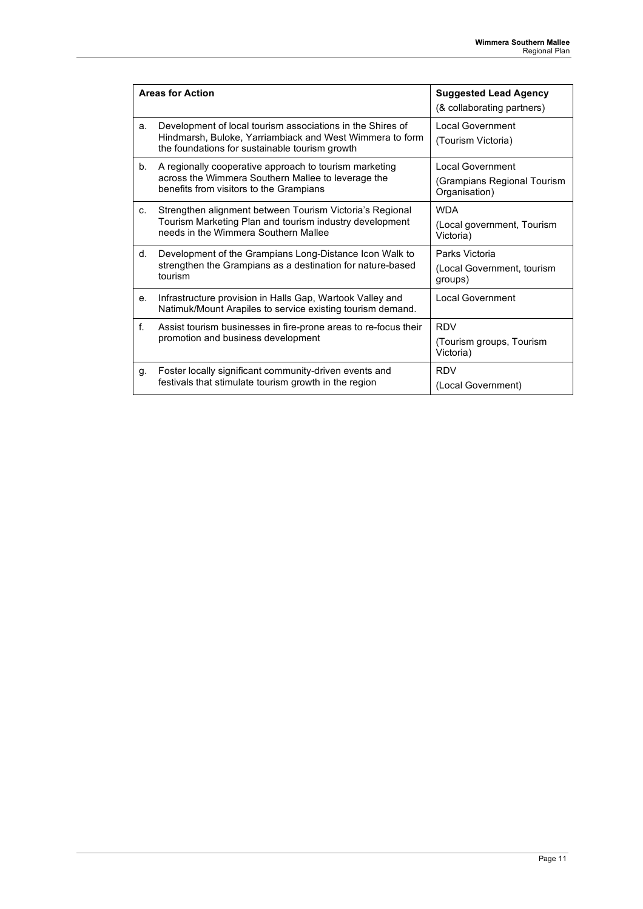| <b>Areas for Action</b> |                                                                                                                                                                          | <b>Suggested Lead Agency</b><br>(& collaborating partners)              |
|-------------------------|--------------------------------------------------------------------------------------------------------------------------------------------------------------------------|-------------------------------------------------------------------------|
| a.                      | Development of local tourism associations in the Shires of<br>Hindmarsh, Buloke, Yarriambiack and West Wimmera to form<br>the foundations for sustainable tourism growth | <b>Local Government</b><br>(Tourism Victoria)                           |
| b.                      | A regionally cooperative approach to tourism marketing<br>across the Wimmera Southern Mallee to leverage the<br>benefits from visitors to the Grampians                  | <b>Local Government</b><br>(Grampians Regional Tourism<br>Organisation) |
| C.                      | Strengthen alignment between Tourism Victoria's Regional<br>Tourism Marketing Plan and tourism industry development<br>needs in the Wimmera Southern Mallee              | <b>WDA</b><br>(Local government, Tourism<br>Victoria)                   |
| d.                      | Development of the Grampians Long-Distance Icon Walk to<br>strengthen the Grampians as a destination for nature-based<br>tourism                                         | Parks Victoria<br>(Local Government, tourism<br>groups)                 |
| e.                      | Infrastructure provision in Halls Gap, Wartook Valley and<br>Natimuk/Mount Arapiles to service existing tourism demand.                                                  | <b>Local Government</b>                                                 |
| f.                      | Assist tourism businesses in fire-prone areas to re-focus their<br>promotion and business development                                                                    | <b>RDV</b><br>(Tourism groups, Tourism<br>Victoria)                     |
| g.                      | Foster locally significant community-driven events and<br>festivals that stimulate tourism growth in the region                                                          | <b>RDV</b><br>(Local Government)                                        |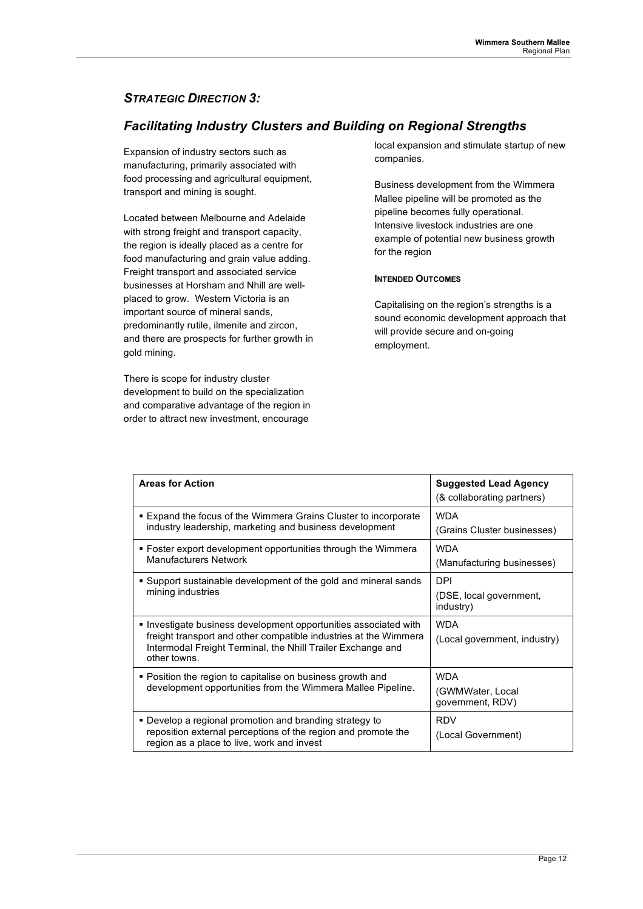## *STRATEGIC DIRECTION 3:*

## *Facilitating Industry Clusters and Building on Regional Strengths*

Expansion of industry sectors such as manufacturing, primarily associated with food processing and agricultural equipment, transport and mining is sought.

Located between Melbourne and Adelaide with strong freight and transport capacity, the region is ideally placed as a centre for food manufacturing and grain value adding. Freight transport and associated service businesses at Horsham and Nhill are wellplaced to grow. Western Victoria is an important source of mineral sands, predominantly rutile, ilmenite and zircon, and there are prospects for further growth in gold mining.

There is scope for industry cluster development to build on the specialization and comparative advantage of the region in order to attract new investment, encourage

local expansion and stimulate startup of new companies.

Business development from the Wimmera Mallee pipeline will be promoted as the pipeline becomes fully operational. Intensive livestock industries are one example of potential new business growth for the region

### **INTENDED OUTCOMES**

Capitalising on the region's strengths is a sound economic development approach that will provide secure and on-going employment.

| <b>Areas for Action</b>                                                                                                                                                                                             | <b>Suggested Lead Agency</b><br>(& collaborating partners) |
|---------------------------------------------------------------------------------------------------------------------------------------------------------------------------------------------------------------------|------------------------------------------------------------|
| ■ Expand the focus of the Wimmera Grains Cluster to incorporate<br>industry leadership, marketing and business development                                                                                          | <b>WDA</b><br>(Grains Cluster businesses)                  |
| • Foster export development opportunities through the Wimmera<br><b>Manufacturers Network</b>                                                                                                                       | <b>WDA</b><br>(Manufacturing businesses)                   |
| • Support sustainable development of the gold and mineral sands<br>mining industries                                                                                                                                | <b>DPI</b><br>(DSE, local government,<br>industry)         |
| • Investigate business development opportunities associated with<br>freight transport and other compatible industries at the Wimmera<br>Intermodal Freight Terminal, the Nhill Trailer Exchange and<br>other towns. | <b>WDA</b><br>(Local government, industry)                 |
| • Position the region to capitalise on business growth and<br>development opportunities from the Wimmera Mallee Pipeline.                                                                                           | <b>WDA</b><br>(GWMWater, Local<br>government, RDV)         |
| • Develop a regional promotion and branding strategy to<br>reposition external perceptions of the region and promote the<br>region as a place to live, work and invest                                              | <b>RDV</b><br>(Local Government)                           |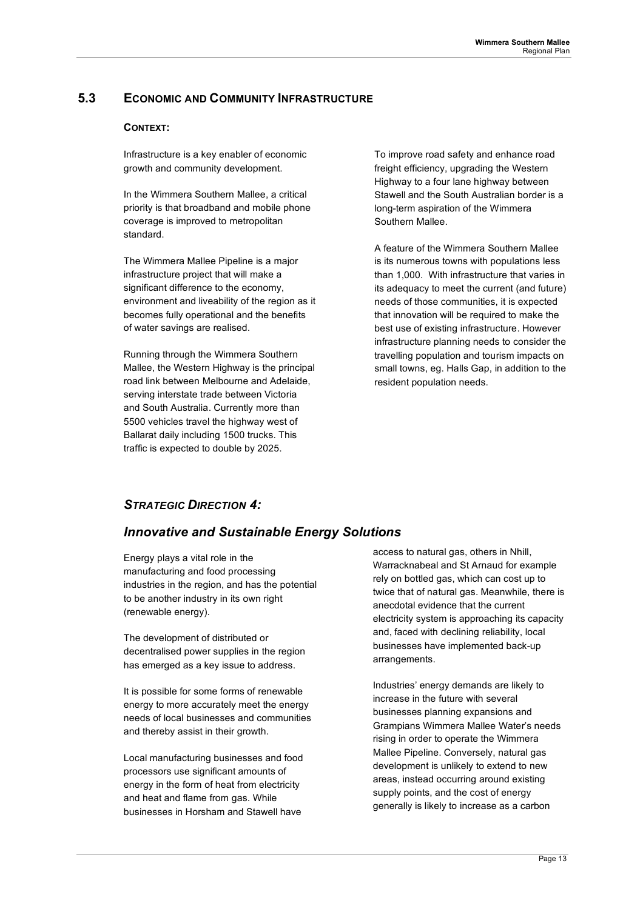## **5.3 ECONOMIC AND COMMUNITY INFRASTRUCTURE**

### **CONTEXT:**

Infrastructure is a key enabler of economic growth and community development.

In the Wimmera Southern Mallee, a critical priority is that broadband and mobile phone coverage is improved to metropolitan standard.

The Wimmera Mallee Pipeline is a major infrastructure project that will make a significant difference to the economy, environment and liveability of the region as it becomes fully operational and the benefits of water savings are realised.

Running through the Wimmera Southern Mallee, the Western Highway is the principal road link between Melbourne and Adelaide, serving interstate trade between Victoria and South Australia. Currently more than 5500 vehicles travel the highway west of Ballarat daily including 1500 trucks. This traffic is expected to double by 2025.

To improve road safety and enhance road freight efficiency, upgrading the Western Highway to a four lane highway between Stawell and the South Australian border is a long-term aspiration of the Wimmera Southern Mallee.

A feature of the Wimmera Southern Mallee is its numerous towns with populations less than 1,000. With infrastructure that varies in its adequacy to meet the current (and future) needs of those communities, it is expected that innovation will be required to make the best use of existing infrastructure. However infrastructure planning needs to consider the travelling population and tourism impacts on small towns, eg. Halls Gap, in addition to the resident population needs.

### *STRATEGIC DIRECTION 4:*

### *Innovative and Sustainable Energy Solutions*

Energy plays a vital role in the manufacturing and food processing industries in the region, and has the potential to be another industry in its own right (renewable energy).

The development of distributed or decentralised power supplies in the region has emerged as a key issue to address.

It is possible for some forms of renewable energy to more accurately meet the energy needs of local businesses and communities and thereby assist in their growth.

Local manufacturing businesses and food processors use significant amounts of energy in the form of heat from electricity and heat and flame from gas. While businesses in Horsham and Stawell have

access to natural gas, others in Nhill, Warracknabeal and St Arnaud for example rely on bottled gas, which can cost up to twice that of natural gas. Meanwhile, there is anecdotal evidence that the current electricity system is approaching its capacity and, faced with declining reliability, local businesses have implemented back-up arrangements.

Industries' energy demands are likely to increase in the future with several businesses planning expansions and Grampians Wimmera Mallee Water's needs rising in order to operate the Wimmera Mallee Pipeline. Conversely, natural gas development is unlikely to extend to new areas, instead occurring around existing supply points, and the cost of energy generally is likely to increase as a carbon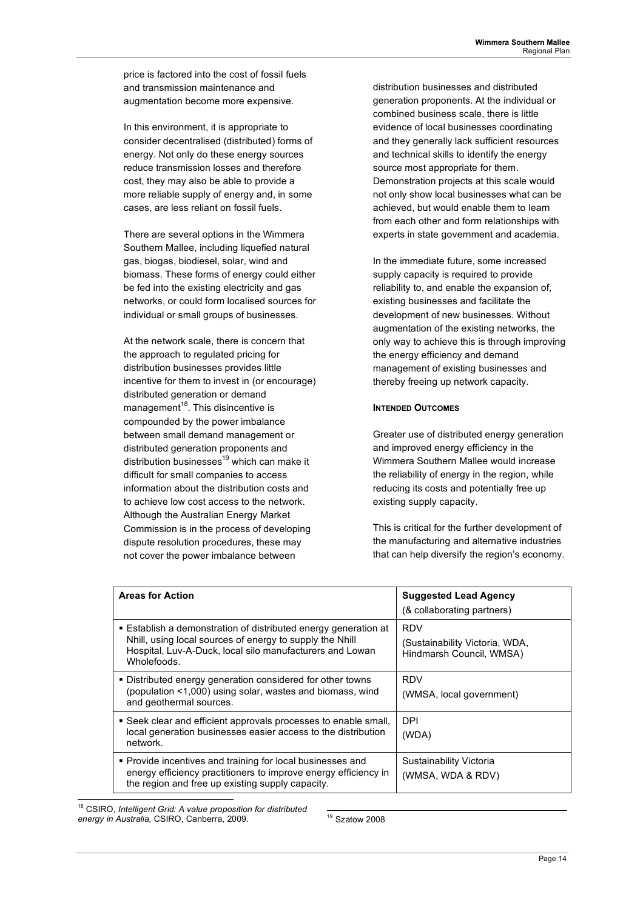price is factored into the cost of fossil fuels and transmission maintenance and augmentation become more expensive.

In this environment, it is appropriate to consider decentralised (distributed) forms of energy. Not only do these energy sources reduce transmission losses and therefore cost, they may also be able to provide a more reliable supply of energy and, in some cases, are less reliant on fossil fuels.

There are several options in the Wimmera Southern Mallee, including liquefied natural gas, biogas, biodiesel, solar, wind and biomass. These forms of energy could either be fed into the existing electricity and gas networks, or could form localised sources for individual or small groups of businesses.

At the network scale, there is concern that the approach to regulated pricing for distribution businesses provides little incentive for them to invest in (or encourage) distributed generation or demand  $m$ anagement $18$ . This disincentive is compounded by the power imbalance between small demand management or distributed generation proponents and distribution businesses<sup>19</sup> which can make it difficult for small companies to access information about the distribution costs and to achieve low cost access to the network. Although the Australian Energy Market Commission is in the process of developing dispute resolution procedures, these may not cover the power imbalance between

distribution businesses and distributed generation proponents. At the individual or combined business scale, there is little evidence of local businesses coordinating and they generally lack sufficient resources and technical skills to identify the energy source most appropriate for them. Demonstration projects at this scale would not only show local businesses what can be achieved, but would enable them to learn from each other and form relationships with experts in state government and academia.

In the immediate future, some increased supply capacity is required to provide reliability to, and enable the expansion of, existing businesses and facilitate the development of new businesses. Without augmentation of the existing networks, the only way to achieve this is through improving the energy efficiency and demand management of existing businesses and thereby freeing up network capacity.

### **INTENDED OUTCOMES**

Greater use of distributed energy generation and improved energy efficiency in the Wimmera Southern Mallee would increase the reliability of energy in the region, while reducing its costs and potentially free up existing supply capacity.

This is critical for the further development of the manufacturing and alternative industries that can help diversify the region's economy.

| <b>Areas for Action</b>                                                                                                                                                                                | <b>Suggested Lead Agency</b><br>(& collaborating partners)               |
|--------------------------------------------------------------------------------------------------------------------------------------------------------------------------------------------------------|--------------------------------------------------------------------------|
| ■ Establish a demonstration of distributed energy generation at<br>Nhill, using local sources of energy to supply the Nhill<br>Hospital, Luv-A-Duck, local silo manufacturers and Lowan<br>Wholefoods. | <b>RDV</b><br>(Sustainability Victoria, WDA,<br>Hindmarsh Council, WMSA) |
| • Distributed energy generation considered for other towns<br>(population <1,000) using solar, wastes and biomass, wind<br>and geothermal sources.                                                     | RDV<br>(WMSA, local government)                                          |
| • Seek clear and efficient approvals processes to enable small,<br>local generation businesses easier access to the distribution<br>network.                                                           | DPI<br>(WDA)                                                             |
| • Provide incentives and training for local businesses and<br>energy efficiency practitioners to improve energy efficiency in<br>the region and free up existing supply capacity.                      | Sustainability Victoria<br>(WMSA, WDA & RDV)                             |

 18 CSIRO, *Intelligent Grid: A value proposition for distributed energy in Australia,* CSIRO, Canberra, 2009.

19 Szatow 2008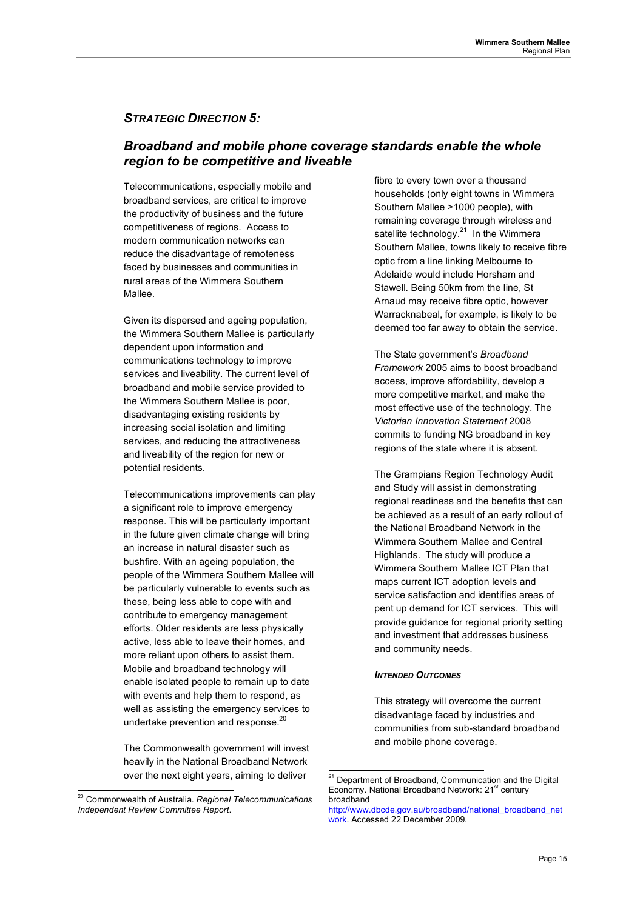### *STRATEGIC DIRECTION 5:*

### *Broadband and mobile phone coverage standards enable the whole region to be competitive and liveable*

Telecommunications, especially mobile and broadband services, are critical to improve the productivity of business and the future competitiveness of regions. Access to modern communication networks can reduce the disadvantage of remoteness faced by businesses and communities in rural areas of the Wimmera Southern Mallee.

Given its dispersed and ageing population, the Wimmera Southern Mallee is particularly dependent upon information and communications technology to improve services and liveability. The current level of broadband and mobile service provided to the Wimmera Southern Mallee is poor, disadvantaging existing residents by increasing social isolation and limiting services, and reducing the attractiveness and liveability of the region for new or potential residents.

Telecommunications improvements can play a significant role to improve emergency response. This will be particularly important in the future given climate change will bring an increase in natural disaster such as bushfire. With an ageing population, the people of the Wimmera Southern Mallee will be particularly vulnerable to events such as these, being less able to cope with and contribute to emergency management efforts. Older residents are less physically active, less able to leave their homes, and more reliant upon others to assist them. Mobile and broadband technology will enable isolated people to remain up to date with events and help them to respond, as well as assisting the emergency services to undertake prevention and response.<sup>20</sup>

The Commonwealth government will invest heavily in the National Broadband Network over the next eight years, aiming to deliver

fibre to every town over a thousand households (only eight towns in Wimmera Southern Mallee >1000 people), with remaining coverage through wireless and satellite technology. $21$  In the Wimmera Southern Mallee, towns likely to receive fibre optic from a line linking Melbourne to Adelaide would include Horsham and Stawell. Being 50km from the line, St Arnaud may receive fibre optic, however Warracknabeal, for example, is likely to be deemed too far away to obtain the service.

The State government's *Broadband Framework* 2005 aims to boost broadband access, improve affordability, develop a more competitive market, and make the most effective use of the technology. The *Victorian Innovation Statement* 2008 commits to funding NG broadband in key regions of the state where it is absent.

The Grampians Region Technology Audit and Study will assist in demonstrating regional readiness and the benefits that can be achieved as a result of an early rollout of the National Broadband Network in the Wimmera Southern Mallee and Central Highlands. The study will produce a Wimmera Southern Mallee ICT Plan that maps current ICT adoption levels and service satisfaction and identifies areas of pent up demand for ICT services. This will provide guidance for regional priority setting and investment that addresses business and community needs.

#### *INTENDED OUTCOMES*

This strategy will overcome the current disadvantage faced by industries and communities from sub-standard broadband and mobile phone coverage.

 <sup>20</sup> Commonwealth of Australia. *Regional Telecommunications Independent Review Committee Report*.

<sup>&</sup>lt;sup>21</sup> Department of Broadband, Communication and the Digital Economy. National Broadband Network: 21<sup>st</sup> century broadband

http://www.dbcde.gov.au/broadband/national\_broadband\_net work. Accessed 22 December 2009.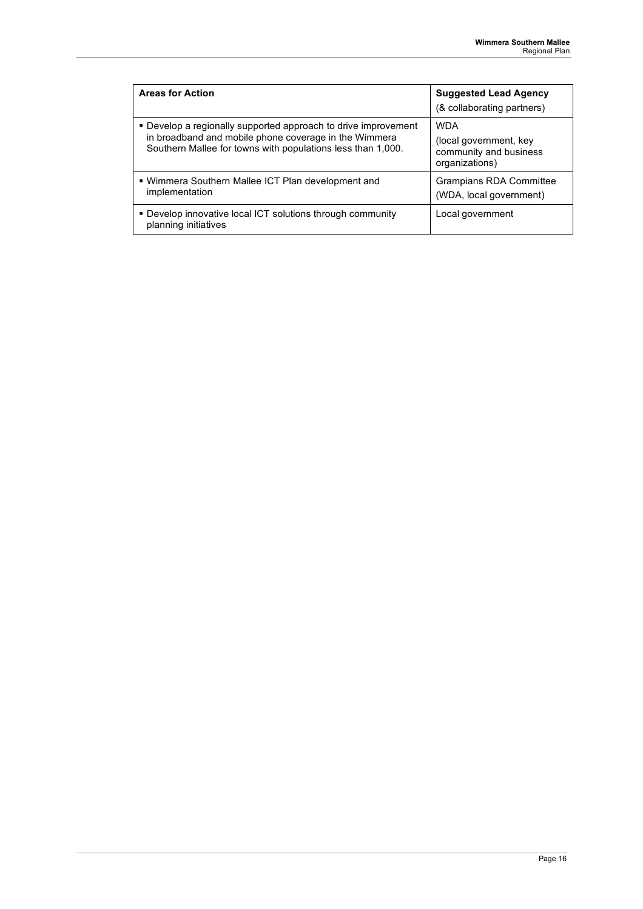| <b>Areas for Action</b>                                                                                                                                                                | <b>Suggested Lead Agency</b><br>(& collaborating partners)                       |
|----------------------------------------------------------------------------------------------------------------------------------------------------------------------------------------|----------------------------------------------------------------------------------|
| • Develop a regionally supported approach to drive improvement<br>in broadband and mobile phone coverage in the Wimmera<br>Southern Mallee for towns with populations less than 1,000. | <b>WDA</b><br>(local government, key<br>community and business<br>organizations) |
| . Wimmera Southern Mallee ICT Plan development and<br>implementation                                                                                                                   | Grampians RDA Committee<br>(WDA, local government)                               |
| • Develop innovative local ICT solutions through community<br>planning initiatives                                                                                                     | Local government                                                                 |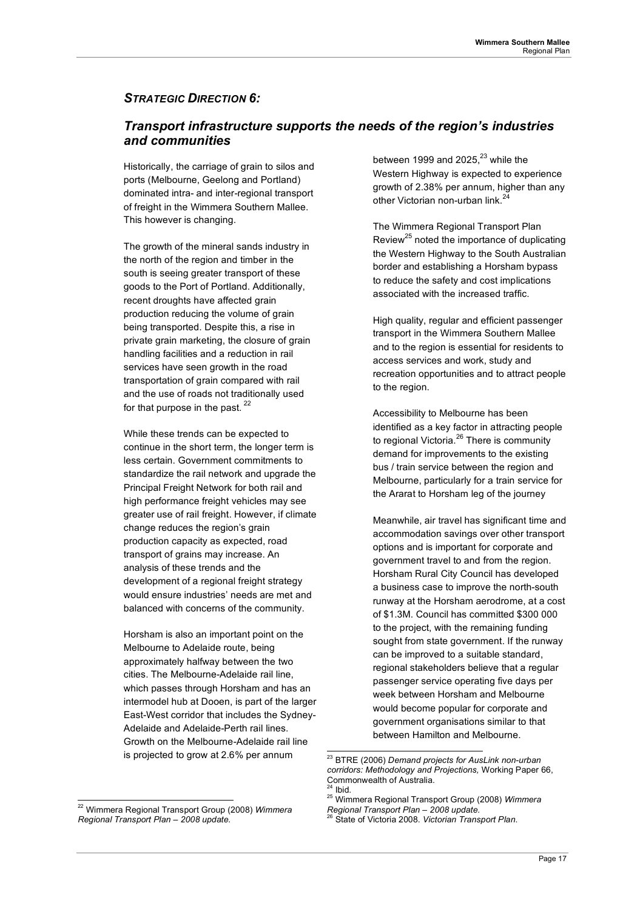## *STRATEGIC DIRECTION 6:*

## *Transport infrastructure supports the needs of the region's industries and communities*

Historically, the carriage of grain to silos and ports (Melbourne, Geelong and Portland) dominated intra- and inter-regional transport of freight in the Wimmera Southern Mallee. This however is changing.

The growth of the mineral sands industry in the north of the region and timber in the south is seeing greater transport of these goods to the Port of Portland. Additionally, recent droughts have affected grain production reducing the volume of grain being transported. Despite this, a rise in private grain marketing, the closure of grain handling facilities and a reduction in rail services have seen growth in the road transportation of grain compared with rail and the use of roads not traditionally used for that purpose in the past.<sup>22</sup>

While these trends can be expected to continue in the short term, the longer term is less certain. Government commitments to standardize the rail network and upgrade the Principal Freight Network for both rail and high performance freight vehicles may see greater use of rail freight. However, if climate change reduces the region's grain production capacity as expected, road transport of grains may increase. An analysis of these trends and the development of a regional freight strategy would ensure industries' needs are met and balanced with concerns of the community.

Horsham is also an important point on the Melbourne to Adelaide route, being approximately halfway between the two cities. The Melbourne-Adelaide rail line, which passes through Horsham and has an intermodel hub at Dooen, is part of the larger East-West corridor that includes the Sydney-Adelaide and Adelaide-Perth rail lines. Growth on the Melbourne-Adelaide rail line is projected to grow at 2.6% per annum

between 1999 and 2025, $^{23}$  while the Western Highway is expected to experience growth of 2.38% per annum, higher than any other Victorian non-urban link.<sup>24</sup>

The Wimmera Regional Transport Plan Review<sup>25</sup> noted the importance of duplicating the Western Highway to the South Australian border and establishing a Horsham bypass to reduce the safety and cost implications associated with the increased traffic.

High quality, regular and efficient passenger transport in the Wimmera Southern Mallee and to the region is essential for residents to access services and work, study and recreation opportunities and to attract people to the region.

Accessibility to Melbourne has been identified as a key factor in attracting people to regional Victoria.<sup>26</sup> There is community demand for improvements to the existing bus / train service between the region and Melbourne, particularly for a train service for the Ararat to Horsham leg of the journey

Meanwhile, air travel has significant time and accommodation savings over other transport options and is important for corporate and government travel to and from the region. Horsham Rural City Council has developed a business case to improve the north-south runway at the Horsham aerodrome, at a cost of \$1.3M. Council has committed \$300 000 to the project, with the remaining funding sought from state government. If the runway can be improved to a suitable standard, regional stakeholders believe that a regular passenger service operating five days per week between Horsham and Melbourne would become popular for corporate and government organisations similar to that between Hamilton and Melbourne.

 <sup>22</sup> Wimmera Regional Transport Group (2008) *Wimmera Regional Transport Plan – 2008 update.*

 <sup>23</sup> BTRE (2006) *Demand projects for AusLink non-urban corridors: Methodology and Projections,* Working Paper 66, Commonwealth of Australia.

<sup>&</sup>lt;sup>24</sup> Ibid.<br><sup>25</sup> Wimmera Regional Transport Group (2008) *Wimmera*<br>*Regional Transport Plan – 2008 update.* 

*Regional Transport Plan – 2008 update.* 26 State of Victoria 2008. *Victorian Transport Plan*.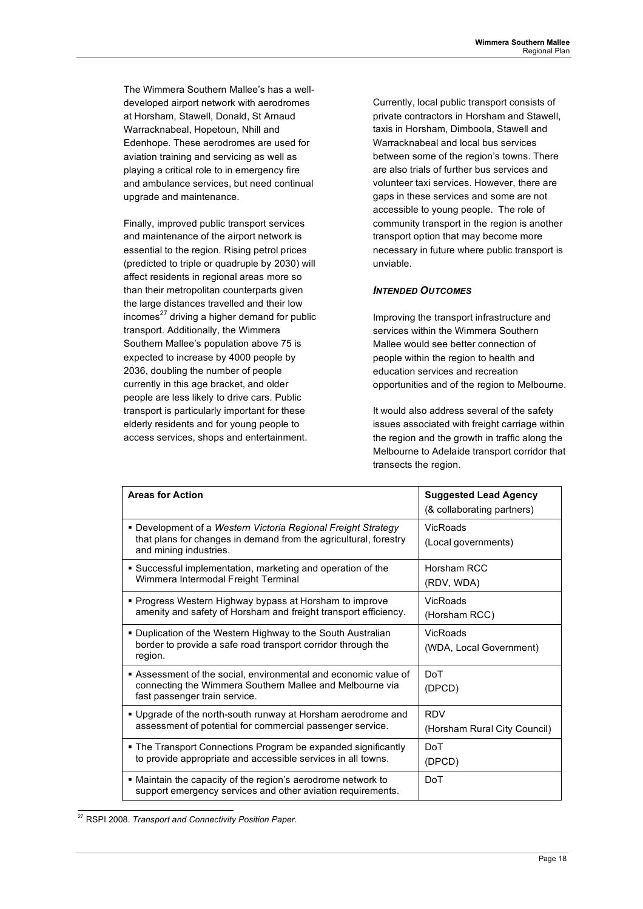The Wimmera Southern Mallee's has a welldeveloped airport network with aerodromes at Horsham, Stawell, Donald, St Arnaud Warracknabeal, Hopetoun, Nhill and Edenhope. These aerodromes are used for aviation training and servicing as well as playing a critical role to in emergency fire and ambulance services, but need continual upgrade and maintenance.

Finally, improved public transport services and maintenance of the airport network is essential to the region. Rising petrol prices (predicted to triple or quadruple by 2030) will affect residents in regional areas more so than their metropolitan counterparts given the large distances travelled and their low  $incomes<sup>27</sup>$  driving a higher demand for public transport. Additionally, the Wimmera Southern Mallee's population above 75 is expected to increase by 4000 people by 2036, doubling the number of people currently in this age bracket, and older people are less likely to drive cars. Public transport is particularly important for these elderly residents and for young people to access services, shops and entertainment.

Currently, local public transport consists of private contractors in Horsham and Stawell, taxis in Horsham, Dimboola, Stawell and Warracknabeal and local bus services between some of the region's towns. There are also trials of further bus services and volunteer taxi services. However, there are gaps in these services and some are not accessible to young people. The role of community transport in the region is another transport option that may become more necessary in future where public transport is unviable.

### *INTENDED OUTCOMES*

Improving the transport infrastructure and services within the Wimmera Southern Mallee would see better connection of people within the region to health and education services and recreation opportunities and of the region to Melbourne.

It would also address several of the safety issues associated with freight carriage within the region and the growth in traffic along the Melbourne to Adelaide transport corridor that transects the region.

| <b>Areas for Action</b>                                                                                                                                     | <b>Suggested Lead Agency</b><br>(& collaborating partners) |
|-------------------------------------------------------------------------------------------------------------------------------------------------------------|------------------------------------------------------------|
| • Development of a Western Victoria Regional Freight Strategy<br>that plans for changes in demand from the agricultural, forestry<br>and mining industries. | VicRoads<br>(Local governments)                            |
| • Successful implementation, marketing and operation of the<br>Wimmera Intermodal Freight Terminal                                                          | Horsham RCC<br>(RDV, WDA)                                  |
| • Progress Western Highway bypass at Horsham to improve<br>amenity and safety of Horsham and freight transport efficiency.                                  | VicRoads<br>(Horsham RCC)                                  |
| • Duplication of the Western Highway to the South Australian<br>border to provide a safe road transport corridor through the<br>region.                     | VicRoads<br>(WDA, Local Government)                        |
| Assessment of the social, environmental and economic value of<br>connecting the Wimmera Southern Mallee and Melbourne via<br>fast passenger train service.  | DoT<br>(DPCD)                                              |
| . Upgrade of the north-south runway at Horsham aerodrome and<br>assessment of potential for commercial passenger service.                                   | <b>RDV</b><br>(Horsham Rural City Council)                 |
| • The Transport Connections Program be expanded significantly<br>to provide appropriate and accessible services in all towns.                               | DoT<br>(DPCD)                                              |
| • Maintain the capacity of the region's aerodrome network to<br>support emergency services and other aviation requirements.                                 | DoT                                                        |

 <sup>27</sup> RSPI 2008. *Transport and Connectivity Position Paper*.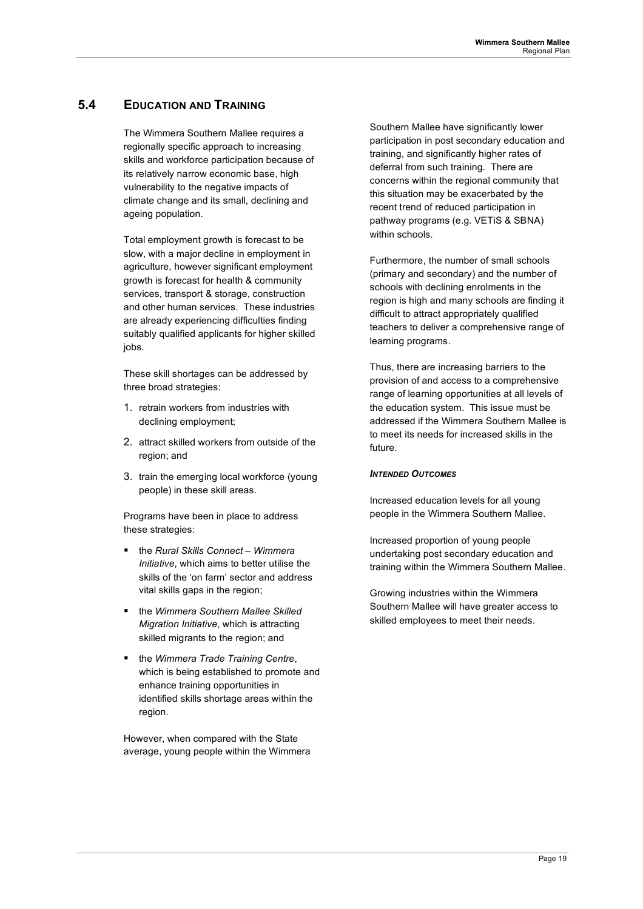## **5.4 EDUCATION AND TRAINING**

The Wimmera Southern Mallee requires a regionally specific approach to increasing skills and workforce participation because of its relatively narrow economic base, high vulnerability to the negative impacts of climate change and its small, declining and ageing population.

Total employment growth is forecast to be slow, with a major decline in employment in agriculture, however significant employment growth is forecast for health & community services, transport & storage, construction and other human services. These industries are already experiencing difficulties finding suitably qualified applicants for higher skilled jobs.

These skill shortages can be addressed by three broad strategies:

- 1. retrain workers from industries with declining employment;
- 2. attract skilled workers from outside of the region; and
- 3. train the emerging local workforce (young people) in these skill areas.

Programs have been in place to address these strategies:

- the *Rural Skills Connect Wimmera Initiative*, which aims to better utilise the skills of the 'on farm' sector and address vital skills gaps in the region;
- the *Wimmera Southern Mallee Skilled Migration Initiative*, which is attracting skilled migrants to the region; and
- the *Wimmera Trade Training Centre*, which is being established to promote and enhance training opportunities in identified skills shortage areas within the region.

However, when compared with the State average, young people within the Wimmera Southern Mallee have significantly lower participation in post secondary education and training, and significantly higher rates of deferral from such training. There are concerns within the regional community that this situation may be exacerbated by the recent trend of reduced participation in pathway programs (e.g. VETiS & SBNA) within schools.

Furthermore, the number of small schools (primary and secondary) and the number of schools with declining enrolments in the region is high and many schools are finding it difficult to attract appropriately qualified teachers to deliver a comprehensive range of learning programs.

Thus, there are increasing barriers to the provision of and access to a comprehensive range of learning opportunities at all levels of the education system. This issue must be addressed if the Wimmera Southern Mallee is to meet its needs for increased skills in the future.

#### *INTENDED OUTCOMES*

Increased education levels for all young people in the Wimmera Southern Mallee.

Increased proportion of young people undertaking post secondary education and training within the Wimmera Southern Mallee.

Growing industries within the Wimmera Southern Mallee will have greater access to skilled employees to meet their needs.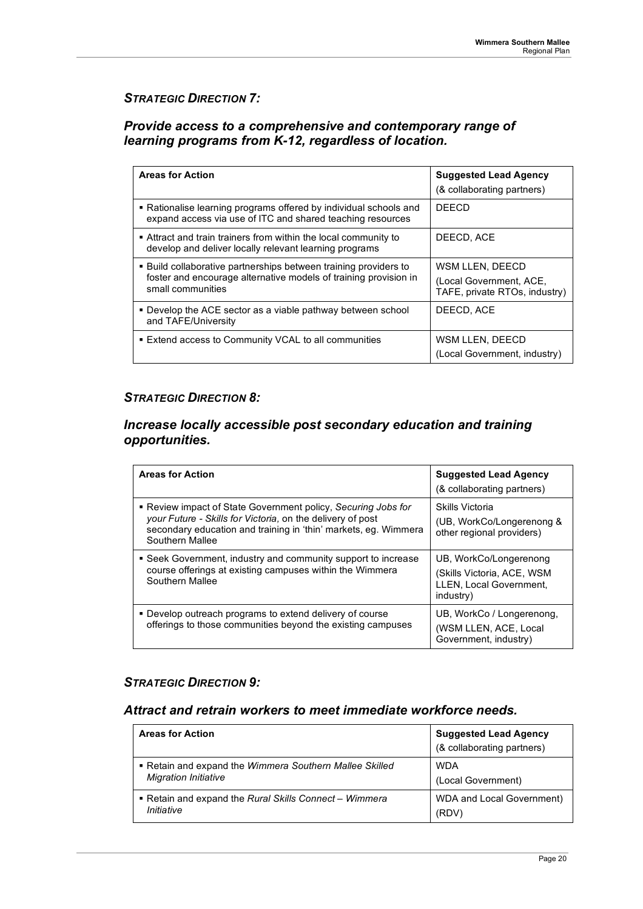## *STRATEGIC DIRECTION 7:*

## *Provide access to a comprehensive and contemporary range of learning programs from K-12, regardless of location.*

| <b>Areas for Action</b>                                                                                                                                   | <b>Suggested Lead Agency</b><br>(& collaborating partners)                  |
|-----------------------------------------------------------------------------------------------------------------------------------------------------------|-----------------------------------------------------------------------------|
| • Rationalise learning programs offered by individual schools and<br>expand access via use of ITC and shared teaching resources                           | <b>DEECD</b>                                                                |
| Attract and train trainers from within the local community to<br>develop and deliver locally relevant learning programs                                   | DEECD, ACE                                                                  |
| . Build collaborative partnerships between training providers to<br>foster and encourage alternative models of training provision in<br>small communities | WSM LLEN, DEECD<br>(Local Government, ACE,<br>TAFE, private RTOs, industry) |
| • Develop the ACE sector as a viable pathway between school<br>and TAFE/University                                                                        | DEECD, ACE                                                                  |
| ■ Extend access to Community VCAL to all communities                                                                                                      | WSM LLEN, DEECD<br>(Local Government, industry)                             |

## *STRATEGIC DIRECTION 8:*

## *Increase locally accessible post secondary education and training opportunities.*

| <b>Areas for Action</b>                                                                                                                                                                                           | <b>Suggested Lead Agency</b><br>(& collaborating partners)                                   |
|-------------------------------------------------------------------------------------------------------------------------------------------------------------------------------------------------------------------|----------------------------------------------------------------------------------------------|
| • Review impact of State Government policy, Securing Jobs for<br>your Future - Skills for Victoria, on the delivery of post<br>secondary education and training in 'thin' markets, eq. Wimmera<br>Southern Mallee | Skills Victoria<br>(UB, WorkCo/Longerenong &<br>other regional providers)                    |
| • Seek Government, industry and community support to increase<br>course offerings at existing campuses within the Wimmera<br>Southern Mallee                                                                      | UB, WorkCo/Longerenong<br>(Skills Victoria, ACE, WSM<br>LLEN, Local Government,<br>industry) |
| • Develop outreach programs to extend delivery of course<br>offerings to those communities beyond the existing campuses                                                                                           | UB, WorkCo / Longerenong,<br>(WSM LLEN, ACE, Local<br>Government, industry)                  |

### *STRATEGIC DIRECTION 9:*

### *Attract and retrain workers to meet immediate workforce needs.*

| <b>Areas for Action</b>                                 | <b>Suggested Lead Agency</b><br>(& collaborating partners) |
|---------------------------------------------------------|------------------------------------------------------------|
| • Retain and expand the Wimmera Southern Mallee Skilled | <b>WDA</b>                                                 |
| <b>Migration Initiative</b>                             | (Local Government)                                         |
| • Retain and expand the Rural Skills Connect – Wimmera  | WDA and Local Government)                                  |
| Initiative                                              | (RDV)                                                      |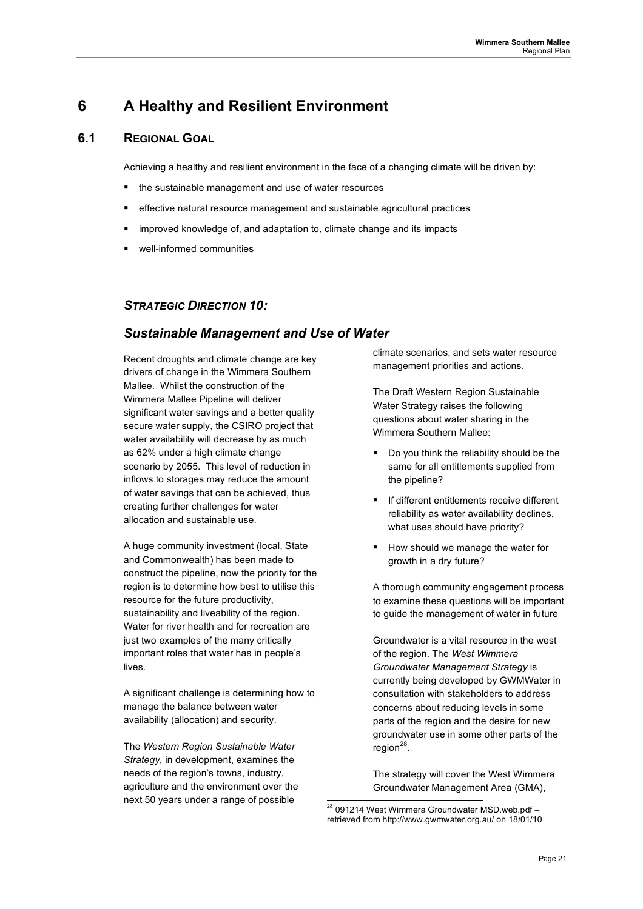## **6 A Healthy and Resilient Environment**

### **6.1 REGIONAL GOAL**

Achieving a healthy and resilient environment in the face of a changing climate will be driven by:

- the sustainable management and use of water resources
- effective natural resource management and sustainable agricultural practices
- improved knowledge of, and adaptation to, climate change and its impacts
- well-informed communities

### *STRATEGIC DIRECTION 10:*

### *Sustainable Management and Use of Water*

Recent droughts and climate change are key drivers of change in the Wimmera Southern Mallee. Whilst the construction of the Wimmera Mallee Pipeline will deliver significant water savings and a better quality secure water supply, the CSIRO project that water availability will decrease by as much as 62% under a high climate change scenario by 2055. This level of reduction in inflows to storages may reduce the amount of water savings that can be achieved, thus creating further challenges for water allocation and sustainable use.

A huge community investment (local, State and Commonwealth) has been made to construct the pipeline, now the priority for the region is to determine how best to utilise this resource for the future productivity, sustainability and liveability of the region. Water for river health and for recreation are just two examples of the many critically important roles that water has in people's lives.

A significant challenge is determining how to manage the balance between water availability (allocation) and security.

The *Western Region Sustainable Water Strategy,* in development, examines the needs of the region's towns, industry, agriculture and the environment over the next 50 years under a range of possible

climate scenarios, and sets water resource management priorities and actions.

The Draft Western Region Sustainable Water Strategy raises the following questions about water sharing in the Wimmera Southern Mallee:

- Do you think the reliability should be the same for all entitlements supplied from the pipeline?
- **If different entitlements receive different** reliability as water availability declines, what uses should have priority?
- How should we manage the water for growth in a dry future?

A thorough community engagement process to examine these questions will be important to guide the management of water in future

Groundwater is a vital resource in the west of the region. The *West Wimmera Groundwater Management Strategy* is currently being developed by GWMWater in consultation with stakeholders to address concerns about reducing levels in some parts of the region and the desire for new groundwater use in some other parts of the  $reqion<sup>28</sup>$ .

The strategy will cover the West Wimmera Groundwater Management Area (GMA),

 $28$  091214 West Wimmera Groundwater MSD.web.pdf retrieved from http://www.gwmwater.org.au/ on 18/01/10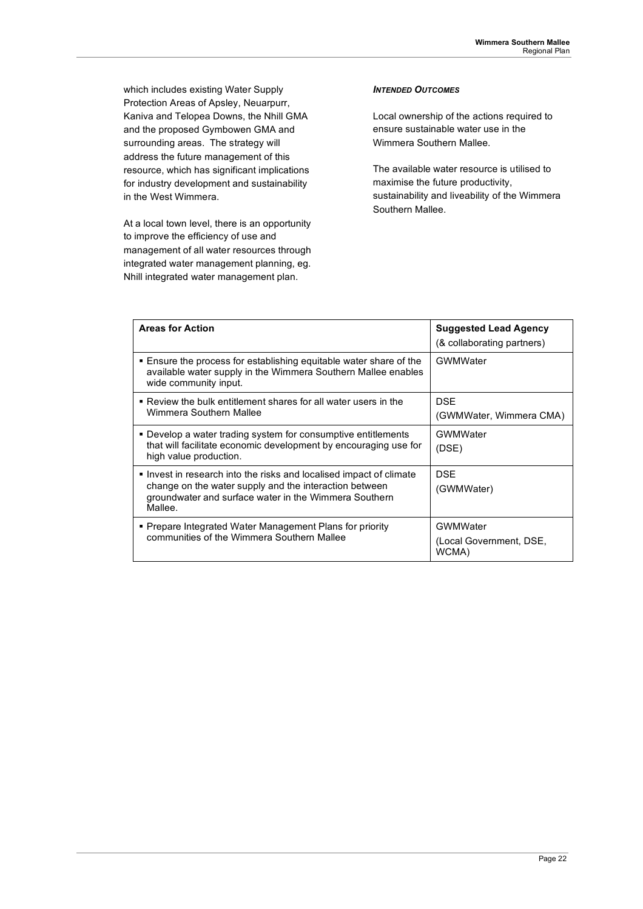which includes existing Water Supply Protection Areas of Apsley, Neuarpurr, Kaniva and Telopea Downs, the Nhill GMA and the proposed Gymbowen GMA and surrounding areas. The strategy will address the future management of this resource, which has significant implications for industry development and sustainability in the West Wimmera.

At a local town level, there is an opportunity to improve the efficiency of use and management of all water resources through integrated water management planning, eg. Nhill integrated water management plan.

### *INTENDED OUTCOMES*

Local ownership of the actions required to ensure sustainable water use in the Wimmera Southern Mallee.

The available water resource is utilised to maximise the future productivity, sustainability and liveability of the Wimmera Southern Mallee.

| <b>Areas for Action</b>                                                                                                                                                                         | <b>Suggested Lead Agency</b><br>(& collaborating partners) |
|-------------------------------------------------------------------------------------------------------------------------------------------------------------------------------------------------|------------------------------------------------------------|
| ■ Ensure the process for establishing equitable water share of the<br>available water supply in the Wimmera Southern Mallee enables<br>wide community input.                                    | GWMWater                                                   |
| ■ Review the bulk entitlement shares for all water users in the<br>Wimmera Southern Mallee                                                                                                      | <b>DSE</b><br>(GWMWater, Wimmera CMA)                      |
| • Develop a water trading system for consumptive entitlements<br>that will facilitate economic development by encouraging use for<br>high value production.                                     | GWMWater<br>(DSE)                                          |
| lnvest in research into the risks and localised impact of climate<br>change on the water supply and the interaction between<br>groundwater and surface water in the Wimmera Southern<br>Mallee. | <b>DSE</b><br>(GWMWater)                                   |
| • Prepare Integrated Water Management Plans for priority<br>communities of the Wimmera Southern Mallee                                                                                          | GWMWater<br>(Local Government, DSE,<br>WCMA)               |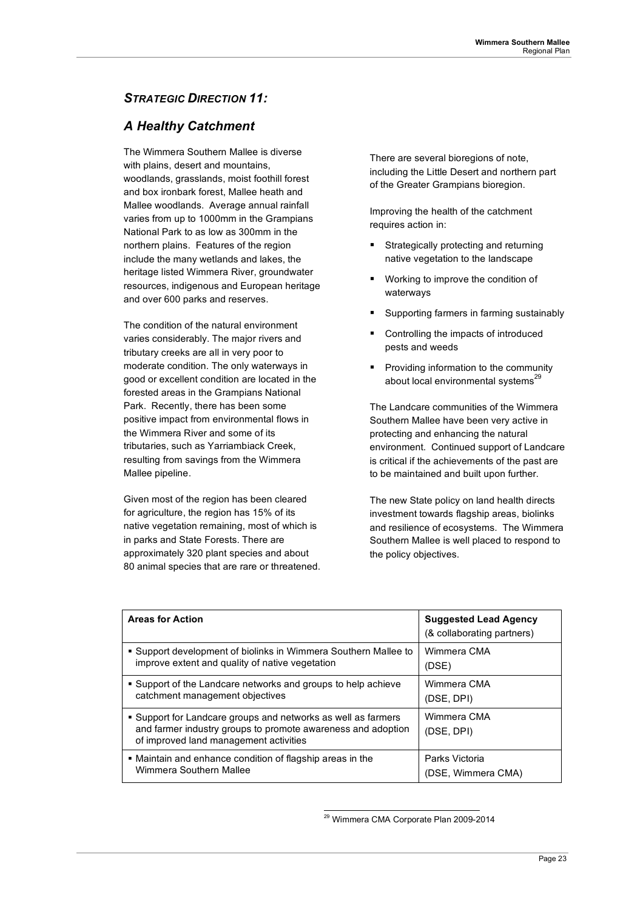## *STRATEGIC DIRECTION 11:*

## *A Healthy Catchment*

The Wimmera Southern Mallee is diverse with plains, desert and mountains. woodlands, grasslands, moist foothill forest and box ironbark forest, Mallee heath and Mallee woodlands. Average annual rainfall varies from up to 1000mm in the Grampians National Park to as low as 300mm in the northern plains. Features of the region include the many wetlands and lakes, the heritage listed Wimmera River, groundwater resources, indigenous and European heritage and over 600 parks and reserves.

The condition of the natural environment varies considerably. The major rivers and tributary creeks are all in very poor to moderate condition. The only waterways in good or excellent condition are located in the forested areas in the Grampians National Park. Recently, there has been some positive impact from environmental flows in the Wimmera River and some of its tributaries, such as Yarriambiack Creek, resulting from savings from the Wimmera Mallee pipeline.

Given most of the region has been cleared for agriculture, the region has 15% of its native vegetation remaining, most of which is in parks and State Forests. There are approximately 320 plant species and about 80 animal species that are rare or threatened. There are several bioregions of note, including the Little Desert and northern part of the Greater Grampians bioregion.

Improving the health of the catchment requires action in:

- **Strategically protecting and returning** native vegetation to the landscape
- Working to improve the condition of waterways
- Supporting farmers in farming sustainably
- Controlling the impacts of introduced pests and weeds
- **Providing information to the community** about local environmental systems<sup>29</sup>

The Landcare communities of the Wimmera Southern Mallee have been very active in protecting and enhancing the natural environment. Continued support of Landcare is critical if the achievements of the past are to be maintained and built upon further.

The new State policy on land health directs investment towards flagship areas, biolinks and resilience of ecosystems. The Wimmera Southern Mallee is well placed to respond to the policy objectives.

| <b>Areas for Action</b>                                                                                                                                                 | <b>Suggested Lead Agency</b><br>(& collaborating partners) |
|-------------------------------------------------------------------------------------------------------------------------------------------------------------------------|------------------------------------------------------------|
| • Support development of biolinks in Wimmera Southern Mallee to                                                                                                         | Wimmera CMA                                                |
| improve extent and quality of native vegetation                                                                                                                         | (DSE)                                                      |
| • Support of the Landcare networks and groups to help achieve                                                                                                           | Wimmera CMA                                                |
| catchment management objectives                                                                                                                                         | (DSE, DPI)                                                 |
| • Support for Landcare groups and networks as well as farmers<br>and farmer industry groups to promote awareness and adoption<br>of improved land management activities | Wimmera CMA<br>(DSE, DPI)                                  |
| • Maintain and enhance condition of flagship areas in the                                                                                                               | Parks Victoria                                             |
| Wimmera Southern Mallee                                                                                                                                                 | (DSE, Wimmera CMA)                                         |

 <sup>29</sup> Wimmera CMA Corporate Plan 2009-2014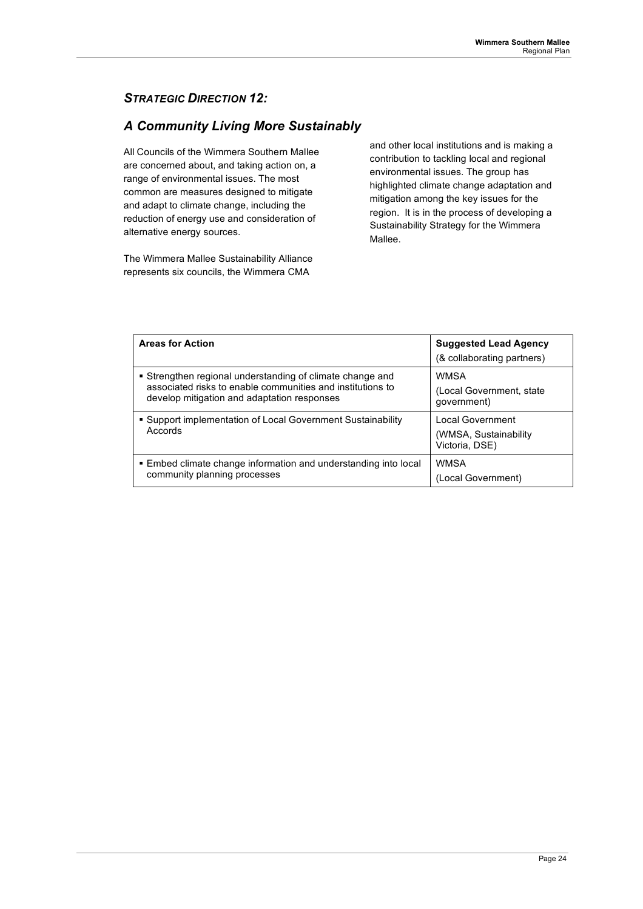## *STRATEGIC DIRECTION 12:*

## *A Community Living More Sustainably*

All Councils of the Wimmera Southern Mallee are concerned about, and taking action on, a range of environmental issues. The most common are measures designed to mitigate and adapt to climate change, including the reduction of energy use and consideration of alternative energy sources.

The Wimmera Mallee Sustainability Alliance represents six councils, the Wimmera CMA

and other local institutions and is making a contribution to tackling local and regional environmental issues. The group has highlighted climate change adaptation and mitigation among the key issues for the region. It is in the process of developing a Sustainability Strategy for the Wimmera Mallee.

| <b>Areas for Action</b>                                                | <b>Suggested Lead Agency</b><br>(& collaborating partners)          |
|------------------------------------------------------------------------|---------------------------------------------------------------------|
| • Strengthen regional understanding of climate change and              | <b>WMSA</b>                                                         |
| associated risks to enable communities and institutions to             | (Local Government, state                                            |
| develop mitigation and adaptation responses                            | qovernment)                                                         |
| • Support implementation of Local Government Sustainability<br>Accords | <b>Local Government</b><br>(WMSA, Sustainability)<br>Victoria, DSE) |
| . Embed climate change information and understanding into local        | <b>WMSA</b>                                                         |
| community planning processes                                           | (Local Government)                                                  |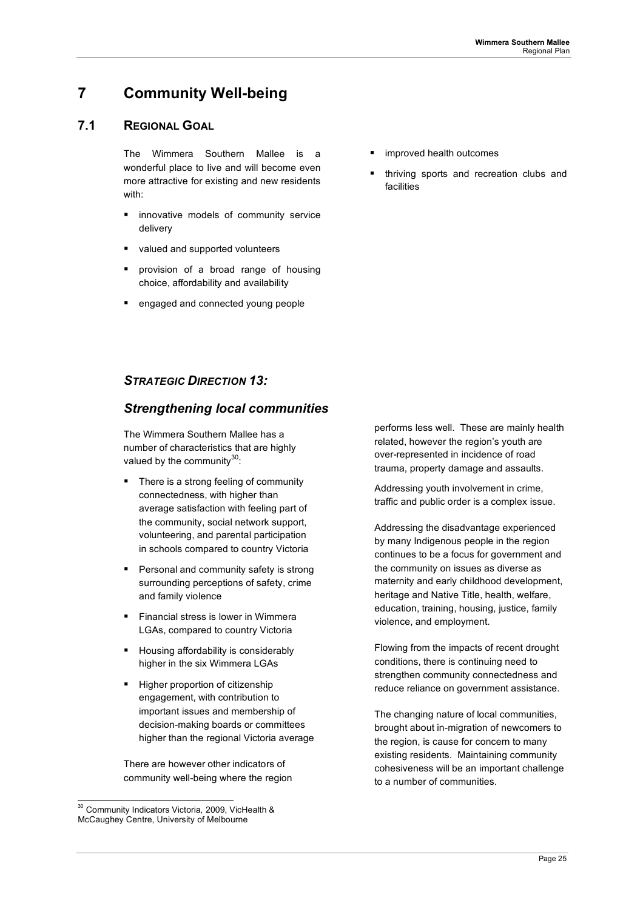## **7 Community Well-being**

### **7.1 REGIONAL GOAL**

The Wimmera Southern Mallee is a wonderful place to live and will become even more attractive for existing and new residents with:

- **I** innovative models of community service delivery
- valued and supported volunteers
- provision of a broad range of housing choice, affordability and availability
- engaged and connected young people
- improved health outcomes
- thriving sports and recreation clubs and facilities

### *STRATEGIC DIRECTION 13:*

## *Strengthening local communities*

The Wimmera Southern Mallee has a number of characteristics that are highly valued by the community $30$ :

- There is a strong feeling of community connectedness, with higher than average satisfaction with feeling part of the community, social network support, volunteering, and parental participation in schools compared to country Victoria
- Personal and community safety is strong surrounding perceptions of safety, crime and family violence
- Financial stress is lower in Wimmera LGAs, compared to country Victoria
- **Housing affordability is considerably** higher in the six Wimmera LGAs
- Higher proportion of citizenship engagement, with contribution to important issues and membership of decision-making boards or committees higher than the regional Victoria average

There are however other indicators of community well-being where the region performs less well. These are mainly health related, however the region's youth are over-represented in incidence of road trauma, property damage and assaults.

Addressing youth involvement in crime, traffic and public order is a complex issue.

Addressing the disadvantage experienced by many Indigenous people in the region continues to be a focus for government and the community on issues as diverse as maternity and early childhood development, heritage and Native Title, health, welfare, education, training, housing, justice, family violence, and employment.

Flowing from the impacts of recent drought conditions, there is continuing need to strengthen community connectedness and reduce reliance on government assistance.

The changing nature of local communities, brought about in-migration of newcomers to the region, is cause for concern to many existing residents. Maintaining community cohesiveness will be an important challenge to a number of communities.

 <sup>30</sup> Community Indicators Victoria*,* 2009, VicHealth & McCaughey Centre, University of Melbourne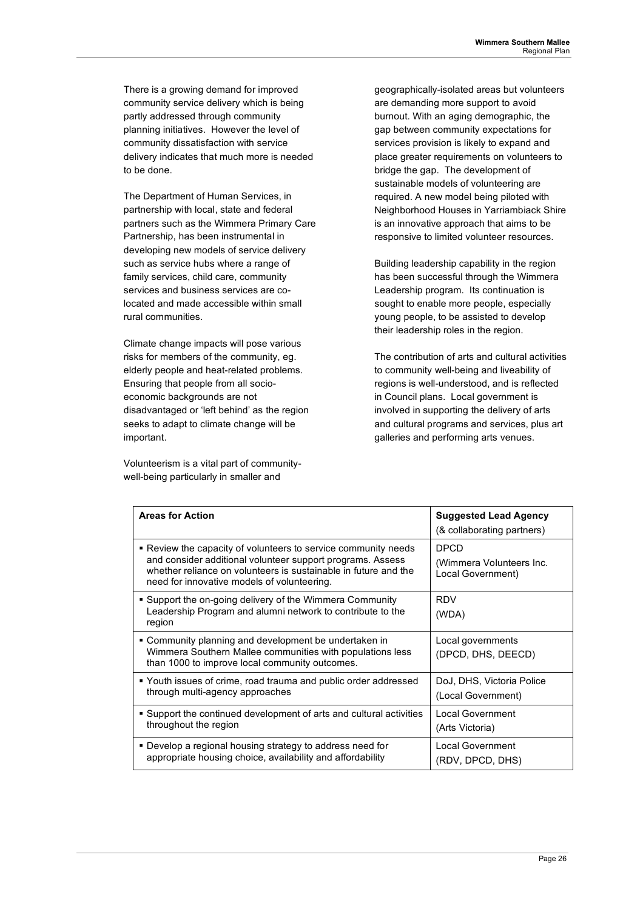There is a growing demand for improved community service delivery which is being partly addressed through community planning initiatives. However the level of community dissatisfaction with service delivery indicates that much more is needed to be done.

The Department of Human Services, in partnership with local, state and federal partners such as the Wimmera Primary Care Partnership, has been instrumental in developing new models of service delivery such as service hubs where a range of family services, child care, community services and business services are colocated and made accessible within small rural communities.

Climate change impacts will pose various risks for members of the community, eg. elderly people and heat-related problems. Ensuring that people from all socioeconomic backgrounds are not disadvantaged or 'left behind' as the region seeks to adapt to climate change will be important.

Volunteerism is a vital part of communitywell-being particularly in smaller and

geographically-isolated areas but volunteers are demanding more support to avoid burnout. With an aging demographic, the gap between community expectations for services provision is likely to expand and place greater requirements on volunteers to bridge the gap. The development of sustainable models of volunteering are required. A new model being piloted with Neighborhood Houses in Yarriambiack Shire is an innovative approach that aims to be responsive to limited volunteer resources.

Building leadership capability in the region has been successful through the Wimmera Leadership program. Its continuation is sought to enable more people, especially young people, to be assisted to develop their leadership roles in the region.

The contribution of arts and cultural activities to community well-being and liveability of regions is well-understood, and is reflected in Council plans. Local government is involved in supporting the delivery of arts and cultural programs and services, plus art galleries and performing arts venues.

| <b>Areas for Action</b>                                                                                                                                                                                                                        | <b>Suggested Lead Agency</b><br>(& collaborating partners)   |  |
|------------------------------------------------------------------------------------------------------------------------------------------------------------------------------------------------------------------------------------------------|--------------------------------------------------------------|--|
| • Review the capacity of volunteers to service community needs<br>and consider additional volunteer support programs. Assess<br>whether reliance on volunteers is sustainable in future and the<br>need for innovative models of volunteering. | <b>DPCD</b><br>(Wimmera Volunteers Inc.<br>Local Government) |  |
| • Support the on-going delivery of the Wimmera Community<br>Leadership Program and alumni network to contribute to the<br>region                                                                                                               | <b>RDV</b><br>(WDA)                                          |  |
| • Community planning and development be undertaken in<br>Wimmera Southern Mallee communities with populations less<br>than 1000 to improve local community outcomes.                                                                           | Local governments<br>(DPCD, DHS, DEECD)                      |  |
| • Youth issues of crime, road trauma and public order addressed<br>through multi-agency approaches                                                                                                                                             | DoJ, DHS, Victoria Police<br>(Local Government)              |  |
| • Support the continued development of arts and cultural activities<br>throughout the region                                                                                                                                                   | Local Government<br>(Arts Victoria)                          |  |
| • Develop a regional housing strategy to address need for<br>appropriate housing choice, availability and affordability                                                                                                                        | <b>Local Government</b><br>(RDV, DPCD, DHS)                  |  |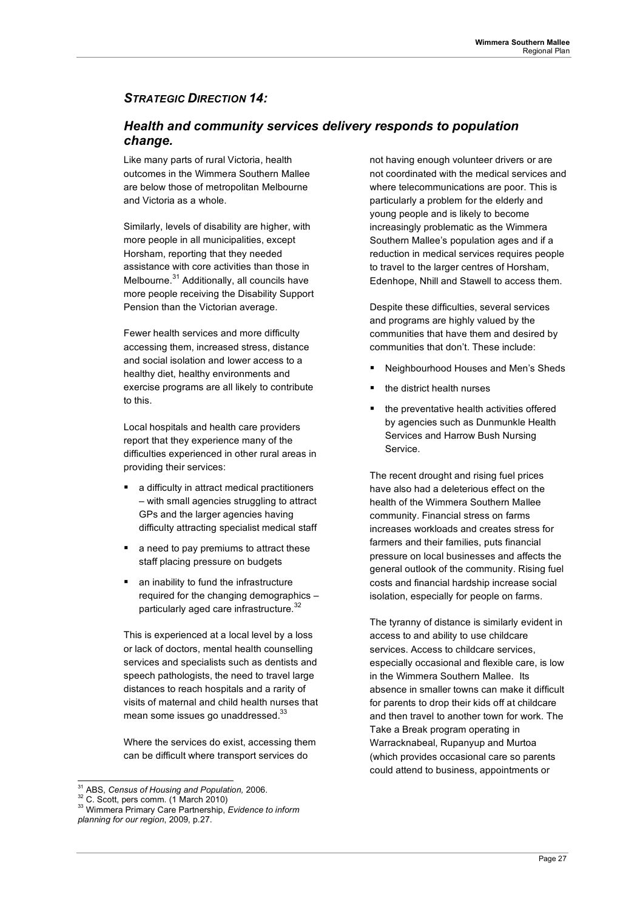## *STRATEGIC DIRECTION 14:*

## *Health and community services delivery responds to population change.*

Like many parts of rural Victoria, health outcomes in the Wimmera Southern Mallee are below those of metropolitan Melbourne and Victoria as a whole.

Similarly, levels of disability are higher, with more people in all municipalities, except Horsham, reporting that they needed assistance with core activities than those in Melbourne.<sup>31</sup> Additionally, all councils have more people receiving the Disability Support Pension than the Victorian average.

Fewer health services and more difficulty accessing them, increased stress, distance and social isolation and lower access to a healthy diet, healthy environments and exercise programs are all likely to contribute to this.

Local hospitals and health care providers report that they experience many of the difficulties experienced in other rural areas in providing their services:

- a difficulty in attract medical practitioners – with small agencies struggling to attract GPs and the larger agencies having difficulty attracting specialist medical staff
- a need to pay premiums to attract these staff placing pressure on budgets
- an inability to fund the infrastructure required for the changing demographics – particularly aged care infrastructure.<sup>32</sup>

This is experienced at a local level by a loss or lack of doctors, mental health counselling services and specialists such as dentists and speech pathologists, the need to travel large distances to reach hospitals and a rarity of visits of maternal and child health nurses that mean some issues go unaddressed.<sup>33</sup>

Where the services do exist, accessing them can be difficult where transport services do

not having enough volunteer drivers or are not coordinated with the medical services and where telecommunications are poor. This is particularly a problem for the elderly and young people and is likely to become increasingly problematic as the Wimmera Southern Mallee's population ages and if a reduction in medical services requires people to travel to the larger centres of Horsham, Edenhope, Nhill and Stawell to access them.

Despite these difficulties, several services and programs are highly valued by the communities that have them and desired by communities that don't. These include:

- Neighbourhood Houses and Men's Sheds
- the district health nurses
- the preventative health activities offered by agencies such as Dunmunkle Health Services and Harrow Bush Nursing Service.

The recent drought and rising fuel prices have also had a deleterious effect on the health of the Wimmera Southern Mallee community. Financial stress on farms increases workloads and creates stress for farmers and their families, puts financial pressure on local businesses and affects the general outlook of the community. Rising fuel costs and financial hardship increase social isolation, especially for people on farms.

The tyranny of distance is similarly evident in access to and ability to use childcare services. Access to childcare services, especially occasional and flexible care, is low in the Wimmera Southern Mallee. Its absence in smaller towns can make it difficult for parents to drop their kids off at childcare and then travel to another town for work. The Take a Break program operating in Warracknabeal, Rupanyup and Murtoa (which provides occasional care so parents could attend to business, appointments or

<sup>&</sup>lt;sup>31</sup> ABS, *Census of Housing and Population,* 2006.<br><sup>32</sup> C. Scott, pers comm. (1 March 2010)<br><sup>33</sup> Wimmera Primary Care Partnership, *Evidence to inform planning for our region*, 2009, p.27.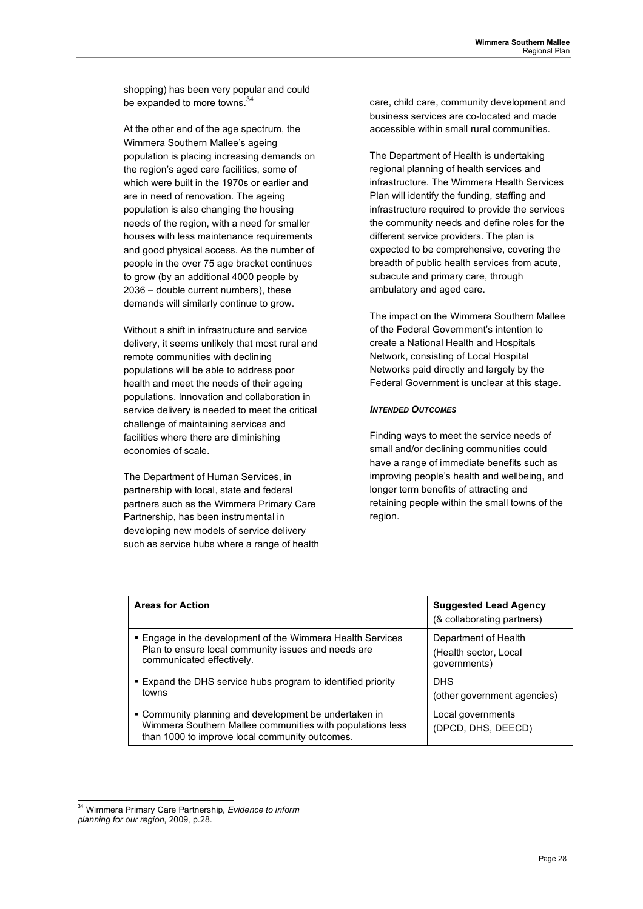shopping) has been very popular and could be expanded to more towns.<sup>34</sup>

At the other end of the age spectrum, the Wimmera Southern Mallee's ageing population is placing increasing demands on the region's aged care facilities, some of which were built in the 1970s or earlier and are in need of renovation. The ageing population is also changing the housing needs of the region, with a need for smaller houses with less maintenance requirements and good physical access. As the number of people in the over 75 age bracket continues to grow (by an additional 4000 people by 2036 – double current numbers), these demands will similarly continue to grow.

Without a shift in infrastructure and service delivery, it seems unlikely that most rural and remote communities with declining populations will be able to address poor health and meet the needs of their ageing populations. Innovation and collaboration in service delivery is needed to meet the critical challenge of maintaining services and facilities where there are diminishing economies of scale.

The Department of Human Services, in partnership with local, state and federal partners such as the Wimmera Primary Care Partnership, has been instrumental in developing new models of service delivery such as service hubs where a range of health care, child care, community development and business services are co-located and made accessible within small rural communities.

The Department of Health is undertaking regional planning of health services and infrastructure. The Wimmera Health Services Plan will identify the funding, staffing and infrastructure required to provide the services the community needs and define roles for the different service providers. The plan is expected to be comprehensive, covering the breadth of public health services from acute, subacute and primary care, through ambulatory and aged care.

The impact on the Wimmera Southern Mallee of the Federal Government's intention to create a National Health and Hospitals Network, consisting of Local Hospital Networks paid directly and largely by the Federal Government is unclear at this stage.

### *INTENDED OUTCOMES*

Finding ways to meet the service needs of small and/or declining communities could have a range of immediate benefits such as improving people's health and wellbeing, and longer term benefits of attracting and retaining people within the small towns of the region.

| <b>Areas for Action</b>                                                                                                                                              | <b>Suggested Lead Agency</b><br>(& collaborating partners) |
|----------------------------------------------------------------------------------------------------------------------------------------------------------------------|------------------------------------------------------------|
| . Engage in the development of the Wimmera Health Services                                                                                                           | Department of Health                                       |
| Plan to ensure local community issues and needs are                                                                                                                  | (Health sector, Local                                      |
| communicated effectively.                                                                                                                                            | governments)                                               |
| . Expand the DHS service hubs program to identified priority                                                                                                         | <b>DHS</b>                                                 |
| towns                                                                                                                                                                | (other government agencies)                                |
| • Community planning and development be undertaken in<br>Wimmera Southern Mallee communities with populations less<br>than 1000 to improve local community outcomes. | Local governments<br>(DPCD, DHS, DEECD)                    |

 <sup>34</sup> Wimmera Primary Care Partnership, *Evidence to inform planning for our region*, 2009, p.28.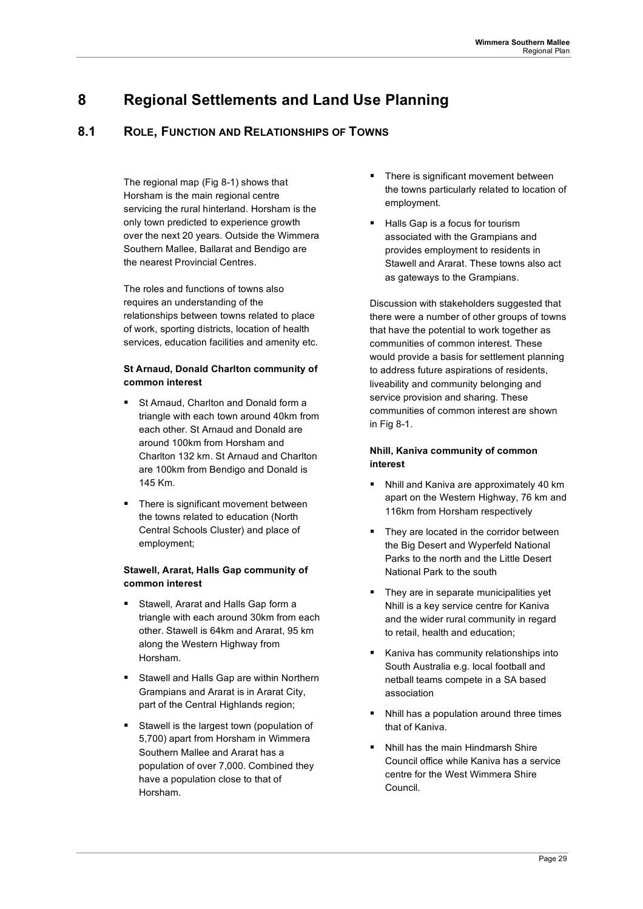## **8 Regional Settlements and Land Use Planning**

## **8.1 ROLE, FUNCTION AND RELATIONSHIPS OF TOWNS**

The regional map (Fig 8-1) shows that Horsham is the main regional centre servicing the rural hinterland. Horsham is the only town predicted to experience growth over the next 20 years. Outside the Wimmera Southern Mallee, Ballarat and Bendigo are the nearest Provincial Centres.

The roles and functions of towns also requires an understanding of the relationships between towns related to place of work, sporting districts, location of health services, education facilities and amenity etc.

### **St Arnaud, Donald Charlton community of common interest**

- St Arnaud, Charlton and Donald form a triangle with each town around 40km from each other. St Arnaud and Donald are around 100km from Horsham and Charlton 132 km. St Arnaud and Charlton are 100km from Bendigo and Donald is 145 Km.
- There is significant movement between the towns related to education (North Central Schools Cluster) and place of employment;

#### **Stawell, Ararat, Halls Gap community of common interest**

- Stawell, Ararat and Halls Gap form a triangle with each around 30km from each other. Stawell is 64km and Ararat, 95 km along the Western Highway from Horsham.
- Stawell and Halls Gap are within Northern Grampians and Ararat is in Ararat City, part of the Central Highlands region;
- Stawell is the largest town (population of 5,700) apart from Horsham in Wimmera Southern Mallee and Ararat has a population of over 7,000. Combined they have a population close to that of Horsham
- **There is significant movement between** the towns particularly related to location of employment.
- Halls Gap is a focus for tourism associated with the Grampians and provides employment to residents in Stawell and Ararat. These towns also act as gateways to the Grampians.

Discussion with stakeholders suggested that there were a number of other groups of towns that have the potential to work together as communities of common interest. These would provide a basis for settlement planning to address future aspirations of residents, liveability and community belonging and service provision and sharing. These communities of common interest are shown in Fig 8-1.

### **Nhill, Kaniva community of common interest**

- Nhill and Kaniva are approximately 40 km apart on the Western Highway, 76 km and 116km from Horsham respectively
- They are located in the corridor between the Big Desert and Wyperfeld National Parks to the north and the Little Desert National Park to the south
- They are in separate municipalities yet Nhill is a key service centre for Kaniva and the wider rural community in regard to retail, health and education;
- Kaniva has community relationships into South Australia e.g. local football and netball teams compete in a SA based association
- Nhill has a population around three times that of Kaniva.
- Nhill has the main Hindmarsh Shire Council office while Kaniva has a service centre for the West Wimmera Shire Council.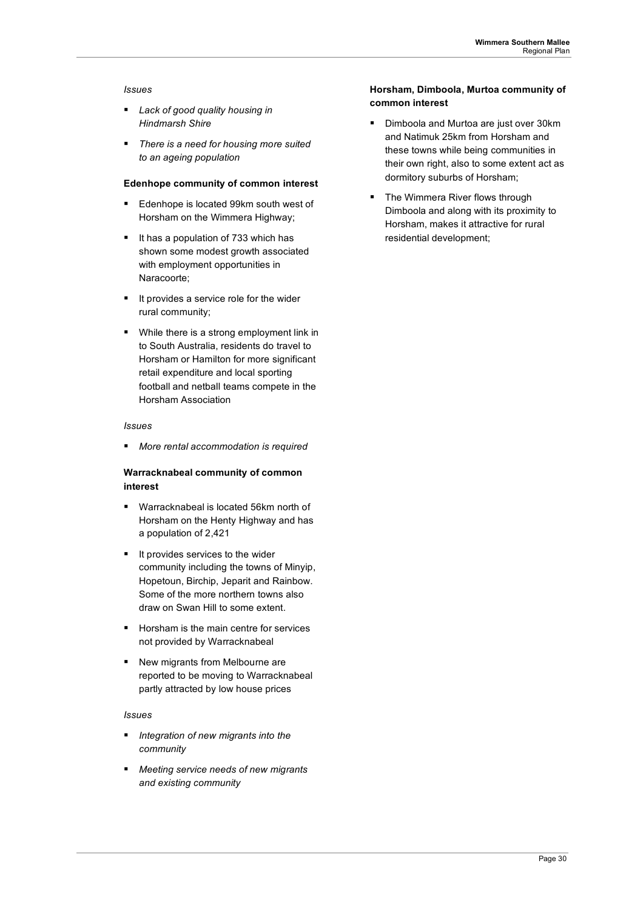#### *Issues*

- *Lack of good quality housing in Hindmarsh Shire*
- *There is a need for housing more suited to an ageing population*

#### **Edenhope community of common interest**

- Edenhope is located 99km south west of Horsham on the Wimmera Highway;
- It has a population of 733 which has shown some modest growth associated with employment opportunities in Naracoorte;
- It provides a service role for the wider rural community;
- **While there is a strong employment link in** to South Australia, residents do travel to Horsham or Hamilton for more significant retail expenditure and local sporting football and netball teams compete in the Horsham Association

#### *Issues*

*More rental accommodation is required* 

### **Warracknabeal community of common interest**

- Warracknabeal is located 56km north of Horsham on the Henty Highway and has a population of 2,421
- It provides services to the wider community including the towns of Minyip, Hopetoun, Birchip, Jeparit and Rainbow. Some of the more northern towns also draw on Swan Hill to some extent.
- Horsham is the main centre for services not provided by Warracknabeal
- New migrants from Melbourne are reported to be moving to Warracknabeal partly attracted by low house prices

#### *Issues*

- *Integration of new migrants into the community*
- *Meeting service needs of new migrants and existing community*

### **Horsham, Dimboola, Murtoa community of common interest**

- **Dimboola and Murtoa are just over 30km** and Natimuk 25km from Horsham and these towns while being communities in their own right, also to some extent act as dormitory suburbs of Horsham;
- The Wimmera River flows through Dimboola and along with its proximity to Horsham, makes it attractive for rural residential development;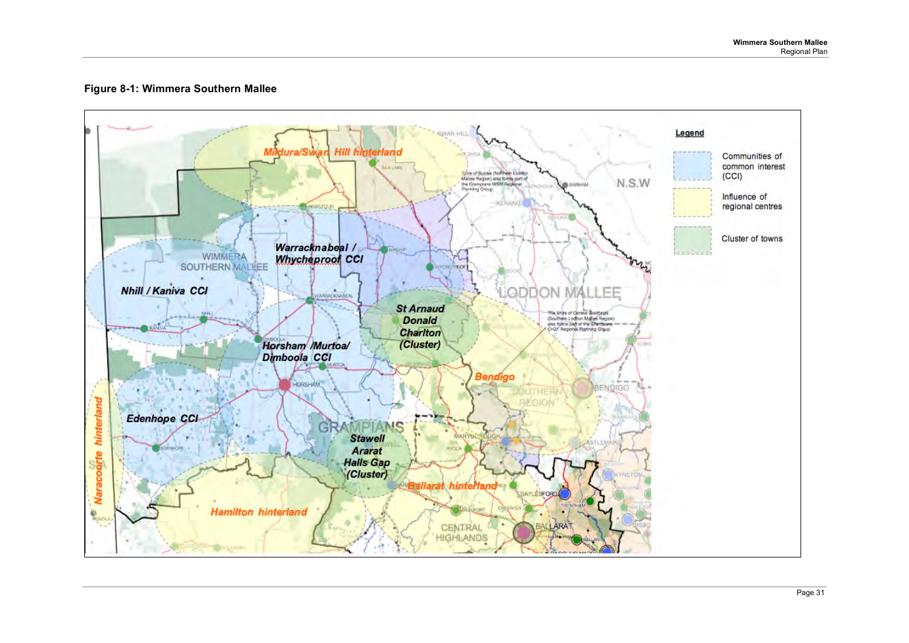### **Figure 8-1: Wimmera Southern Mallee**

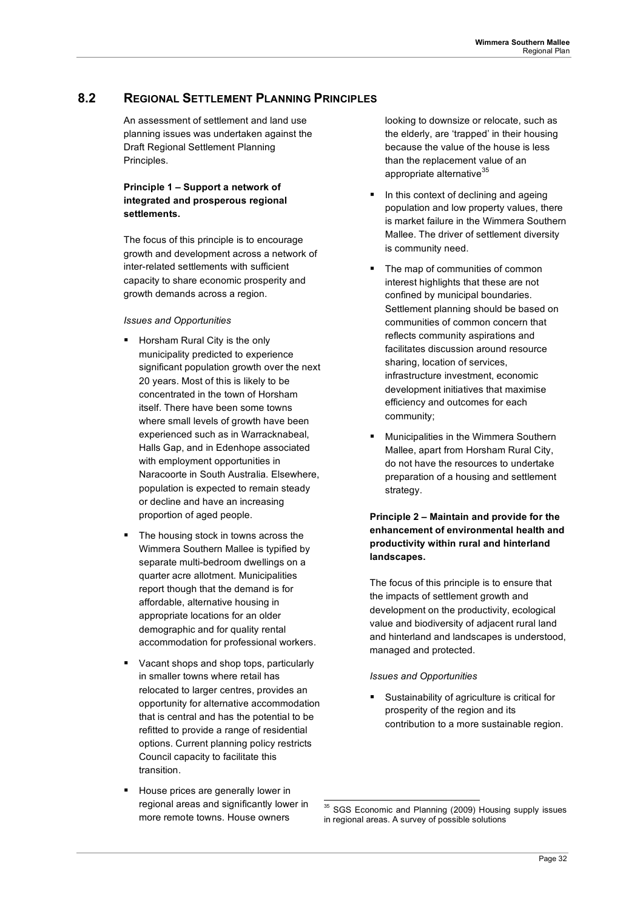## **8.2 REGIONAL SETTLEMENT PLANNING PRINCIPLES**

An assessment of settlement and land use planning issues was undertaken against the Draft Regional Settlement Planning Principles.

### **Principle 1 – Support a network of integrated and prosperous regional settlements.**

The focus of this principle is to encourage growth and development across a network of inter-related settlements with sufficient capacity to share economic prosperity and growth demands across a region.

### *Issues and Opportunities*

- **Horsham Rural City is the only** municipality predicted to experience significant population growth over the next 20 years. Most of this is likely to be concentrated in the town of Horsham itself. There have been some towns where small levels of growth have been experienced such as in Warracknabeal, Halls Gap, and in Edenhope associated with employment opportunities in Naracoorte in South Australia. Elsewhere, population is expected to remain steady or decline and have an increasing proportion of aged people.
- The housing stock in towns across the Wimmera Southern Mallee is typified by separate multi-bedroom dwellings on a quarter acre allotment. Municipalities report though that the demand is for affordable, alternative housing in appropriate locations for an older demographic and for quality rental accommodation for professional workers.
- Vacant shops and shop tops, particularly in smaller towns where retail has relocated to larger centres, provides an opportunity for alternative accommodation that is central and has the potential to be refitted to provide a range of residential options. Current planning policy restricts Council capacity to facilitate this transition.
- House prices are generally lower in regional areas and significantly lower in more remote towns. House owners

looking to downsize or relocate, such as the elderly, are 'trapped' in their housing because the value of the house is less than the replacement value of an appropriate alternative<sup>35</sup>

- In this context of declining and ageing population and low property values, there is market failure in the Wimmera Southern Mallee. The driver of settlement diversity is community need.
- The map of communities of common interest highlights that these are not confined by municipal boundaries. Settlement planning should be based on communities of common concern that reflects community aspirations and facilitates discussion around resource sharing, location of services, infrastructure investment, economic development initiatives that maximise efficiency and outcomes for each community;
- Municipalities in the Wimmera Southern Mallee, apart from Horsham Rural City, do not have the resources to undertake preparation of a housing and settlement strategy.

### **Principle 2 – Maintain and provide for the enhancement of environmental health and productivity within rural and hinterland landscapes.**

The focus of this principle is to ensure that the impacts of settlement growth and development on the productivity, ecological value and biodiversity of adjacent rural land and hinterland and landscapes is understood, managed and protected.

### *Issues and Opportunities*

 Sustainability of agriculture is critical for prosperity of the region and its contribution to a more sustainable region.

<sup>&</sup>lt;sup>35</sup> SGS Economic and Planning (2009) Housing supply issues in regional areas. A survey of possible solutions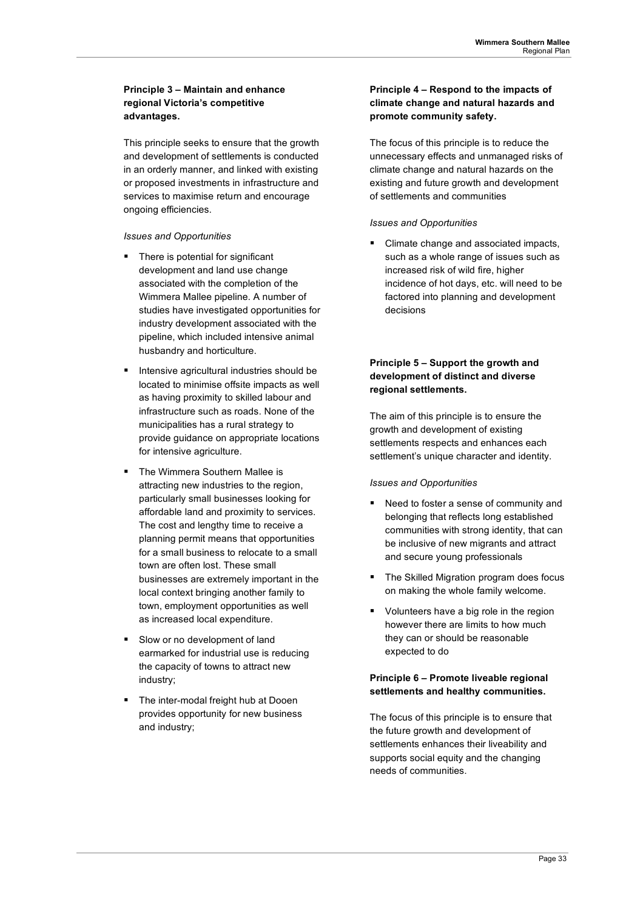### **Principle 3 – Maintain and enhance regional Victoria's competitive advantages.**

This principle seeks to ensure that the growth and development of settlements is conducted in an orderly manner, and linked with existing or proposed investments in infrastructure and services to maximise return and encourage ongoing efficiencies.

### *Issues and Opportunities*

- There is potential for significant development and land use change associated with the completion of the Wimmera Mallee pipeline. A number of studies have investigated opportunities for industry development associated with the pipeline, which included intensive animal husbandry and horticulture.
- **Intensive agricultural industries should be** located to minimise offsite impacts as well as having proximity to skilled labour and infrastructure such as roads. None of the municipalities has a rural strategy to provide guidance on appropriate locations for intensive agriculture.
- The Wimmera Southern Mallee is attracting new industries to the region, particularly small businesses looking for affordable land and proximity to services. The cost and lengthy time to receive a planning permit means that opportunities for a small business to relocate to a small town are often lost. These small businesses are extremely important in the local context bringing another family to town, employment opportunities as well as increased local expenditure.
- Slow or no development of land earmarked for industrial use is reducing the capacity of towns to attract new industry;
- The inter-modal freight hub at Dooen provides opportunity for new business and industry;

### **Principle 4 – Respond to the impacts of climate change and natural hazards and promote community safety.**

The focus of this principle is to reduce the unnecessary effects and unmanaged risks of climate change and natural hazards on the existing and future growth and development of settlements and communities

### *Issues and Opportunities*

 Climate change and associated impacts, such as a whole range of issues such as increased risk of wild fire, higher incidence of hot days, etc. will need to be factored into planning and development decisions

### **Principle 5 – Support the growth and development of distinct and diverse regional settlements.**

The aim of this principle is to ensure the growth and development of existing settlements respects and enhances each settlement's unique character and identity.

### *Issues and Opportunities*

- Need to foster a sense of community and belonging that reflects long established communities with strong identity, that can be inclusive of new migrants and attract and secure young professionals
- The Skilled Migration program does focus on making the whole family welcome.
- Volunteers have a big role in the region however there are limits to how much they can or should be reasonable expected to do

### **Principle 6 – Promote liveable regional settlements and healthy communities.**

The focus of this principle is to ensure that the future growth and development of settlements enhances their liveability and supports social equity and the changing needs of communities.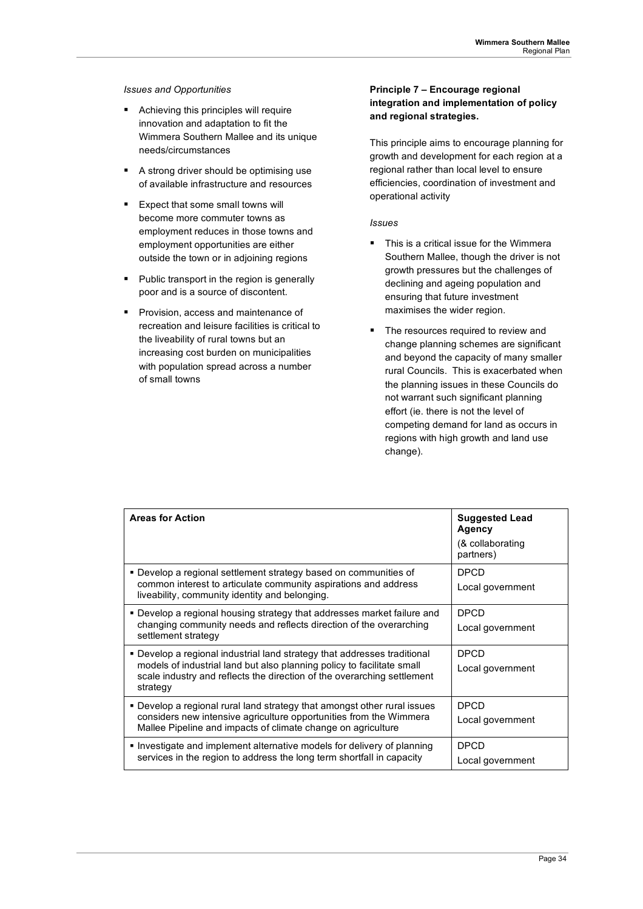### *Issues and Opportunities*

- Achieving this principles will require innovation and adaptation to fit the Wimmera Southern Mallee and its unique needs/circumstances
- A strong driver should be optimising use of available infrastructure and resources
- $\blacksquare$  Fxpect that some small towns will become more commuter towns as employment reduces in those towns and employment opportunities are either outside the town or in adjoining regions
- **Public transport in the region is generally** poor and is a source of discontent.
- **Provision, access and maintenance of** recreation and leisure facilities is critical to the liveability of rural towns but an increasing cost burden on municipalities with population spread across a number of small towns

### **Principle 7 – Encourage regional integration and implementation of policy and regional strategies.**

This principle aims to encourage planning for growth and development for each region at a regional rather than local level to ensure efficiencies, coordination of investment and operational activity

### *Issues*

- This is a critical issue for the Wimmera Southern Mallee, though the driver is not growth pressures but the challenges of declining and ageing population and ensuring that future investment maximises the wider region.
- The resources required to review and change planning schemes are significant and beyond the capacity of many smaller rural Councils. This is exacerbated when the planning issues in these Councils do not warrant such significant planning effort (ie. there is not the level of competing demand for land as occurs in regions with high growth and land use change).

| <b>Areas for Action</b>                                                                                                                                                                                                                   | <b>Suggested Lead</b><br>Agency<br>(& collaborating<br>partners) |
|-------------------------------------------------------------------------------------------------------------------------------------------------------------------------------------------------------------------------------------------|------------------------------------------------------------------|
| • Develop a regional settlement strategy based on communities of<br>common interest to articulate community aspirations and address<br>liveability, community identity and belonging.                                                     | <b>DPCD</b><br>Local government                                  |
| • Develop a regional housing strategy that addresses market failure and<br>changing community needs and reflects direction of the overarching<br>settlement strategy                                                                      | <b>DPCD</b><br>Local government                                  |
| • Develop a regional industrial land strategy that addresses traditional<br>models of industrial land but also planning policy to facilitate small<br>scale industry and reflects the direction of the overarching settlement<br>strategy | <b>DPCD</b><br>Local government                                  |
| • Develop a regional rural land strategy that amongst other rural issues<br>considers new intensive agriculture opportunities from the Wimmera<br>Mallee Pipeline and impacts of climate change on agriculture                            | <b>DPCD</b><br>Local government                                  |
| Investigate and implement alternative models for delivery of planning<br>services in the region to address the long term shortfall in capacity                                                                                            | <b>DPCD</b><br>Local government                                  |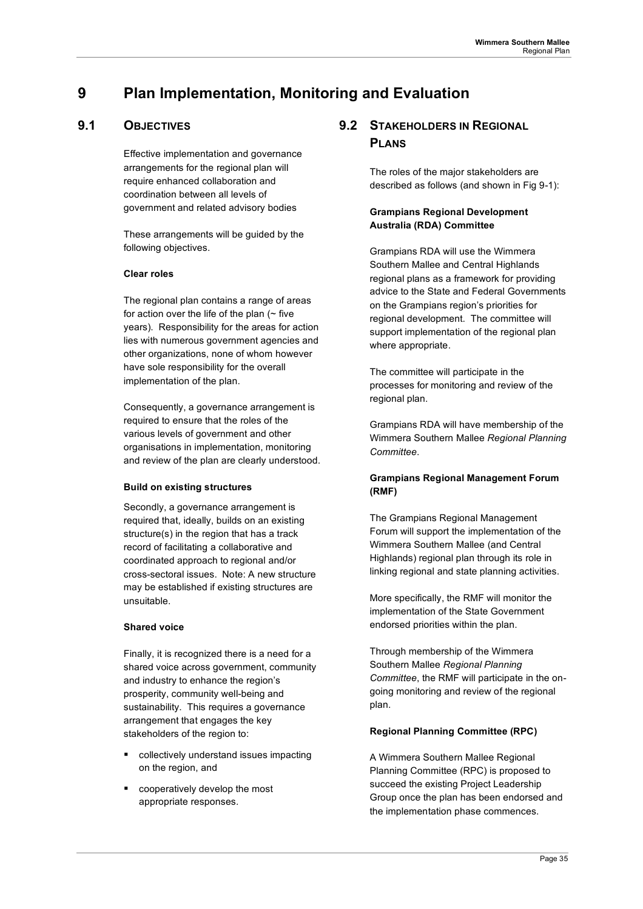## **9 Plan Implementation, Monitoring and Evaluation**

## **9.1 OBJECTIVES**

Effective implementation and governance arrangements for the regional plan will require enhanced collaboration and coordination between all levels of government and related advisory bodies

These arrangements will be guided by the following objectives.

### **Clear roles**

The regional plan contains a range of areas for action over the life of the plan  $($  - five years). Responsibility for the areas for action lies with numerous government agencies and other organizations, none of whom however have sole responsibility for the overall implementation of the plan.

Consequently, a governance arrangement is required to ensure that the roles of the various levels of government and other organisations in implementation, monitoring and review of the plan are clearly understood.

### **Build on existing structures**

Secondly, a governance arrangement is required that, ideally, builds on an existing structure(s) in the region that has a track record of facilitating a collaborative and coordinated approach to regional and/or cross-sectoral issues. Note: A new structure may be established if existing structures are unsuitable.

### **Shared voice**

Finally, it is recognized there is a need for a shared voice across government, community and industry to enhance the region's prosperity, community well-being and sustainability. This requires a governance arrangement that engages the key stakeholders of the region to:

- collectively understand issues impacting on the region, and
- cooperatively develop the most appropriate responses.

## **9.2 STAKEHOLDERS IN REGIONAL PLANS**

The roles of the major stakeholders are described as follows (and shown in Fig 9-1):

### **Grampians Regional Development Australia (RDA) Committee**

Grampians RDA will use the Wimmera Southern Mallee and Central Highlands regional plans as a framework for providing advice to the State and Federal Governments on the Grampians region's priorities for regional development. The committee will support implementation of the regional plan where appropriate.

The committee will participate in the processes for monitoring and review of the regional plan.

Grampians RDA will have membership of the Wimmera Southern Mallee *Regional Planning Committee*.

### **Grampians Regional Management Forum (RMF)**

The Grampians Regional Management Forum will support the implementation of the Wimmera Southern Mallee (and Central Highlands) regional plan through its role in linking regional and state planning activities.

More specifically, the RMF will monitor the implementation of the State Government endorsed priorities within the plan.

Through membership of the Wimmera Southern Mallee *Regional Planning Committee*, the RMF will participate in the ongoing monitoring and review of the regional plan.

### **Regional Planning Committee (RPC)**

A Wimmera Southern Mallee Regional Planning Committee (RPC) is proposed to succeed the existing Project Leadership Group once the plan has been endorsed and the implementation phase commences.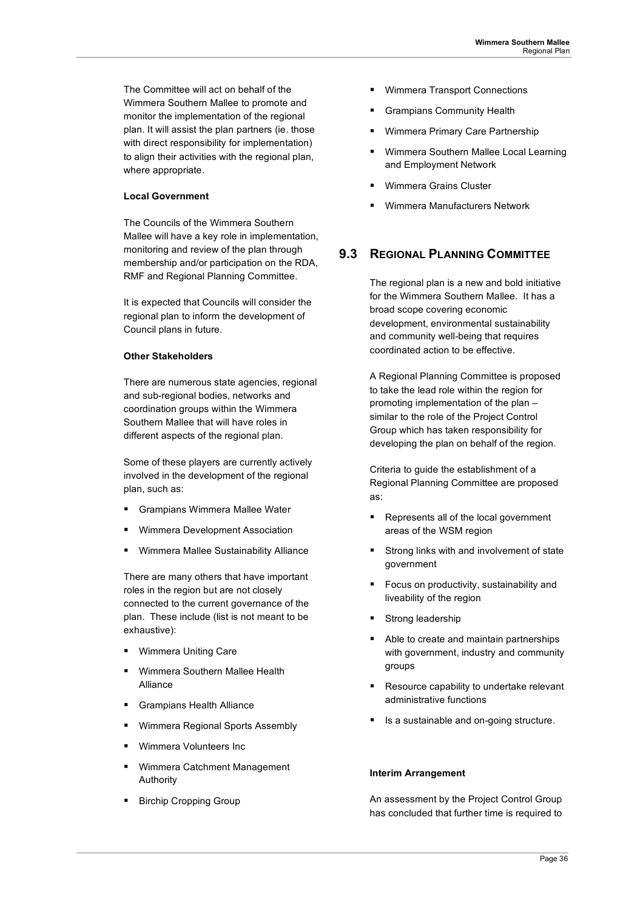The Committee will act on behalf of the Wimmera Southern Mallee to promote and monitor the implementation of the regional plan. It will assist the plan partners (ie. those with direct responsibility for implementation) to align their activities with the regional plan, where appropriate.

### **Local Government**

The Councils of the Wimmera Southern Mallee will have a key role in implementation, monitoring and review of the plan through membership and/or participation on the RDA, RMF and Regional Planning Committee.

It is expected that Councils will consider the regional plan to inform the development of Council plans in future.

### **Other Stakeholders**

There are numerous state agencies, regional and sub-regional bodies, networks and coordination groups within the Wimmera Southern Mallee that will have roles in different aspects of the regional plan.

Some of these players are currently actively involved in the development of the regional plan, such as:

- Grampians Wimmera Mallee Water
- Wimmera Development Association
- Wimmera Mallee Sustainability Alliance

There are many others that have important roles in the region but are not closely connected to the current governance of the plan. These include (list is not meant to be exhaustive):

- Wimmera Uniting Care
- Wimmera Southern Mallee Health Alliance
- Grampians Health Alliance
- Wimmera Regional Sports Assembly
- Wimmera Volunteers Inc
- Wimmera Catchment Management Authority
- Birchip Cropping Group
- **Wimmera Transport Connections**
- Grampians Community Health
- Wimmera Primary Care Partnership
- Wimmera Southern Mallee Local Learning and Employment Network
- Wimmera Grains Cluster
- Wimmera Manufacturers Network

## **9.3 REGIONAL PLANNING COMMITTEE**

The regional plan is a new and bold initiative for the Wimmera Southern Mallee. It has a broad scope covering economic development, environmental sustainability and community well-being that requires coordinated action to be effective.

A Regional Planning Committee is proposed to take the lead role within the region for promoting implementation of the plan – similar to the role of the Project Control Group which has taken responsibility for developing the plan on behalf of the region.

Criteria to guide the establishment of a Regional Planning Committee are proposed as:

- Represents all of the local government areas of the WSM region
- **Strong links with and involvement of state** government
- **Focus on productivity, sustainability and** liveability of the region
- Strong leadership
- Able to create and maintain partnerships with government, industry and community groups
- Resource capability to undertake relevant administrative functions
- Is a sustainable and on-going structure.

### **Interim Arrangement**

An assessment by the Project Control Group has concluded that further time is required to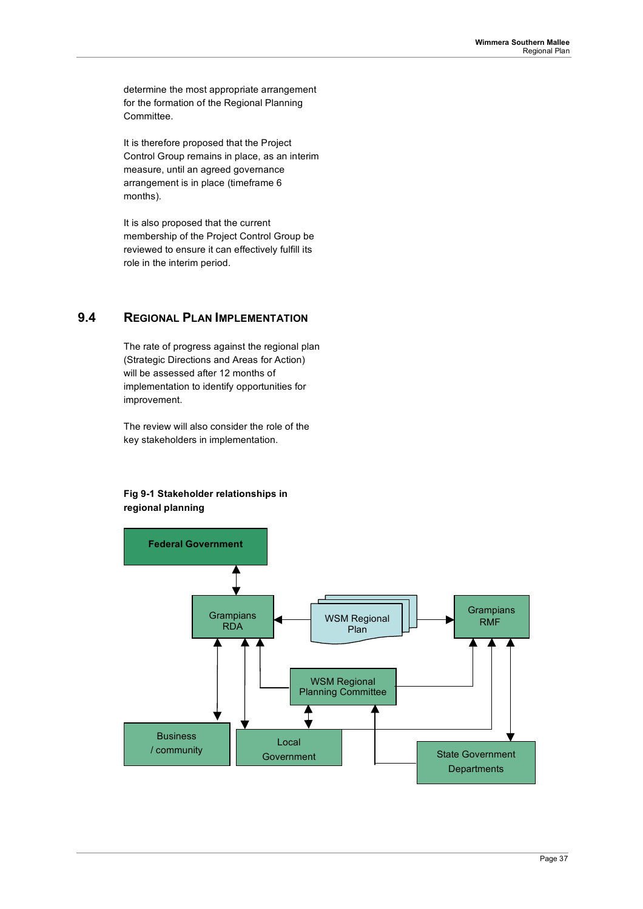determine the most appropriate arrangement for the formation of the Regional Planning Committee.

It is therefore proposed that the Project Control Group remains in place, as an interim measure, until an agreed governance arrangement is in place (timeframe 6 months).

It is also proposed that the current membership of the Project Control Group be reviewed to ensure it can effectively fulfill its role in the interim period.

## **9.4 REGIONAL PLAN IMPLEMENTATION**

The rate of progress against the regional plan (Strategic Directions and Areas for Action) will be assessed after 12 months of implementation to identify opportunities for improvement.

The review will also consider the role of the key stakeholders in implementation.

### **Fig 9-1 Stakeholder relationships in regional planning**